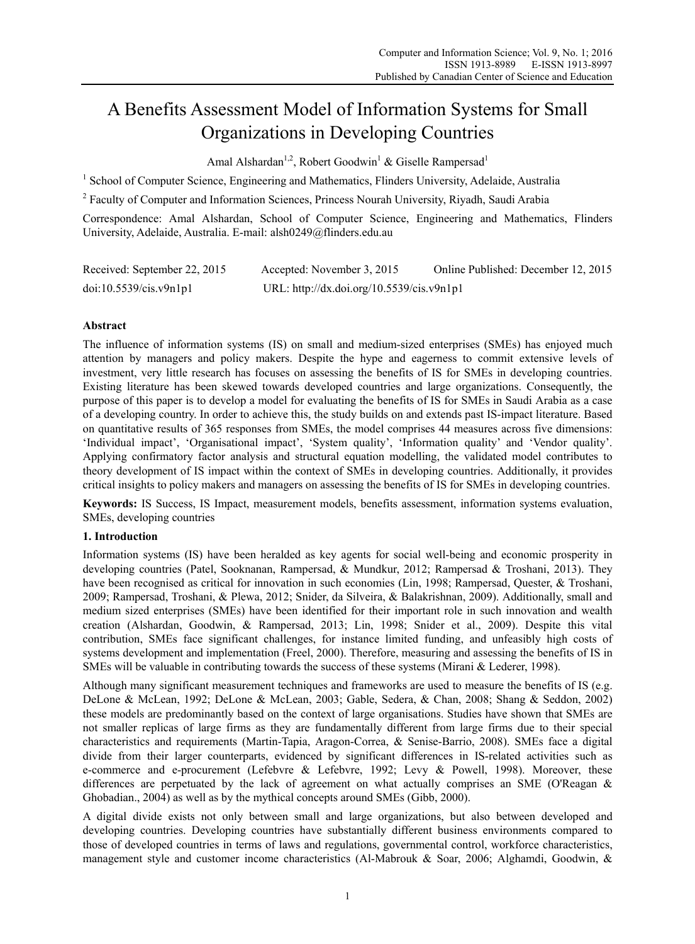# A Benefits Assessment Model of Information Systems for Small Organizations in Developing Countries

Amal Alshardan<sup>1,2</sup>, Robert Goodwin<sup>1</sup> & Giselle Rampersad<sup>1</sup>

<sup>1</sup> School of Computer Science, Engineering and Mathematics, Flinders University, Adelaide, Australia

<sup>2</sup> Faculty of Computer and Information Sciences, Princess Nourah University, Riyadh, Saudi Arabia

Correspondence: Amal Alshardan, School of Computer Science, Engineering and Mathematics, Flinders University, Adelaide, Australia. E-mail: alsh0249@flinders.edu.au

| Received: September 22, 2015 | Accepted: November 3, 2015                | Online Published: December 12, 2015 |
|------------------------------|-------------------------------------------|-------------------------------------|
| doi:10.5539/cis.v9n1p1       | URL: http://dx.doi.org/10.5539/cis.v9n1p1 |                                     |

# **Abstract**

The influence of information systems (IS) on small and medium-sized enterprises (SMEs) has enjoyed much attention by managers and policy makers. Despite the hype and eagerness to commit extensive levels of investment, very little research has focuses on assessing the benefits of IS for SMEs in developing countries. Existing literature has been skewed towards developed countries and large organizations. Consequently, the purpose of this paper is to develop a model for evaluating the benefits of IS for SMEs in Saudi Arabia as a case of a developing country. In order to achieve this, the study builds on and extends past IS-impact literature. Based on quantitative results of 365 responses from SMEs, the model comprises 44 measures across five dimensions: 'Individual impact', 'Organisational impact', 'System quality', 'Information quality' and 'Vendor quality'. Applying confirmatory factor analysis and structural equation modelling, the validated model contributes to theory development of IS impact within the context of SMEs in developing countries. Additionally, it provides critical insights to policy makers and managers on assessing the benefits of IS for SMEs in developing countries.

**Keywords:** IS Success, IS Impact, measurement models, benefits assessment, information systems evaluation, SMEs, developing countries

## **1. Introduction**

Information systems (IS) have been heralded as key agents for social well-being and economic prosperity in developing countries (Patel, Sooknanan, Rampersad, & Mundkur, 2012; Rampersad & Troshani, 2013). They have been recognised as critical for innovation in such economies (Lin, 1998; Rampersad, Quester, & Troshani, 2009; Rampersad, Troshani, & Plewa, 2012; Snider, da Silveira, & Balakrishnan, 2009). Additionally, small and medium sized enterprises (SMEs) have been identified for their important role in such innovation and wealth creation (Alshardan, Goodwin, & Rampersad, 2013; Lin, 1998; Snider et al., 2009). Despite this vital contribution, SMEs face significant challenges, for instance limited funding, and unfeasibly high costs of systems development and implementation (Freel, 2000). Therefore, measuring and assessing the benefits of IS in SMEs will be valuable in contributing towards the success of these systems (Mirani & Lederer, 1998).

Although many significant measurement techniques and frameworks are used to measure the benefits of IS (e.g. DeLone & McLean, 1992; DeLone & McLean, 2003; Gable, Sedera, & Chan, 2008; Shang & Seddon, 2002) these models are predominantly based on the context of large organisations. Studies have shown that SMEs are not smaller replicas of large firms as they are fundamentally different from large firms due to their special characteristics and requirements (Martin-Tapia, Aragon-Correa, & Senise-Barrio, 2008). SMEs face a digital divide from their larger counterparts, evidenced by significant differences in IS-related activities such as e-commerce and e-procurement (Lefebvre & Lefebvre, 1992; Levy & Powell, 1998). Moreover, these differences are perpetuated by the lack of agreement on what actually comprises an SME (O'Reagan & Ghobadian., 2004) as well as by the mythical concepts around SMEs (Gibb, 2000).

A digital divide exists not only between small and large organizations, but also between developed and developing countries. Developing countries have substantially different business environments compared to those of developed countries in terms of laws and regulations, governmental control, workforce characteristics, management style and customer income characteristics (Al-Mabrouk & Soar, 2006; Alghamdi, Goodwin, &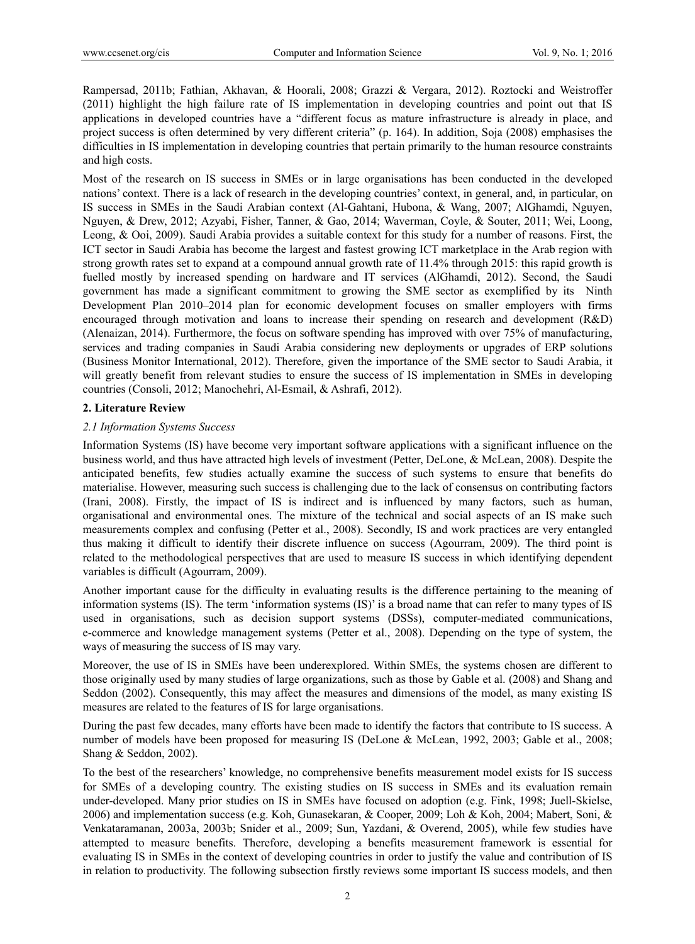Rampersad, 2011b; Fathian, Akhavan, & Hoorali, 2008; Grazzi & Vergara, 2012). Roztocki and Weistroffer (2011) highlight the high failure rate of IS implementation in developing countries and point out that IS applications in developed countries have a "different focus as mature infrastructure is already in place, and project success is often determined by very different criteria" (p. 164). In addition, Soja (2008) emphasises the difficulties in IS implementation in developing countries that pertain primarily to the human resource constraints and high costs.

Most of the research on IS success in SMEs or in large organisations has been conducted in the developed nations' context. There is a lack of research in the developing countries' context, in general, and, in particular, on IS success in SMEs in the Saudi Arabian context (Al-Gahtani, Hubona, & Wang, 2007; AlGhamdi, Nguyen, Nguyen, & Drew, 2012; Azyabi, Fisher, Tanner, & Gao, 2014; Waverman, Coyle, & Souter, 2011; Wei, Loong, Leong, & Ooi, 2009). Saudi Arabia provides a suitable context for this study for a number of reasons. First, the ICT sector in Saudi Arabia has become the largest and fastest growing ICT marketplace in the Arab region with strong growth rates set to expand at a compound annual growth rate of 11.4% through 2015: this rapid growth is fuelled mostly by increased spending on hardware and IT services (AlGhamdi, 2012). Second, the Saudi government has made a significant commitment to growing the SME sector as exemplified by its Ninth Development Plan 2010–2014 plan for economic development focuses on smaller employers with firms encouraged through motivation and loans to increase their spending on research and development (R&D) (Alenaizan, 2014). Furthermore, the focus on software spending has improved with over 75% of manufacturing, services and trading companies in Saudi Arabia considering new deployments or upgrades of ERP solutions (Business Monitor International, 2012). Therefore, given the importance of the SME sector to Saudi Arabia, it will greatly benefit from relevant studies to ensure the success of IS implementation in SMEs in developing countries (Consoli, 2012; Manochehri, Al-Esmail, & Ashrafi, 2012).

#### **2. Literature Review**

#### *2.1 Information Systems Success*

Information Systems (IS) have become very important software applications with a significant influence on the business world, and thus have attracted high levels of investment (Petter, DeLone, & McLean, 2008). Despite the anticipated benefits, few studies actually examine the success of such systems to ensure that benefits do materialise. However, measuring such success is challenging due to the lack of consensus on contributing factors (Irani, 2008). Firstly, the impact of IS is indirect and is influenced by many factors, such as human, organisational and environmental ones. The mixture of the technical and social aspects of an IS make such measurements complex and confusing (Petter et al., 2008). Secondly, IS and work practices are very entangled thus making it difficult to identify their discrete influence on success (Agourram, 2009). The third point is related to the methodological perspectives that are used to measure IS success in which identifying dependent variables is difficult (Agourram, 2009).

Another important cause for the difficulty in evaluating results is the difference pertaining to the meaning of information systems (IS). The term 'information systems (IS)' is a broad name that can refer to many types of IS used in organisations, such as decision support systems (DSSs), computer-mediated communications, e-commerce and knowledge management systems (Petter et al., 2008). Depending on the type of system, the ways of measuring the success of IS may vary.

Moreover, the use of IS in SMEs have been underexplored. Within SMEs, the systems chosen are different to those originally used by many studies of large organizations, such as those by Gable et al. (2008) and Shang and Seddon (2002). Consequently, this may affect the measures and dimensions of the model, as many existing IS measures are related to the features of IS for large organisations.

During the past few decades, many efforts have been made to identify the factors that contribute to IS success. A number of models have been proposed for measuring IS (DeLone & McLean, 1992, 2003; Gable et al., 2008; Shang & Seddon, 2002).

To the best of the researchers' knowledge, no comprehensive benefits measurement model exists for IS success for SMEs of a developing country. The existing studies on IS success in SMEs and its evaluation remain under-developed. Many prior studies on IS in SMEs have focused on adoption (e.g. Fink, 1998; Juell-Skielse, 2006) and implementation success (e.g. Koh, Gunasekaran, & Cooper, 2009; Loh & Koh, 2004; Mabert, Soni, & Venkataramanan, 2003a, 2003b; Snider et al., 2009; Sun, Yazdani, & Overend, 2005), while few studies have attempted to measure benefits. Therefore, developing a benefits measurement framework is essential for evaluating IS in SMEs in the context of developing countries in order to justify the value and contribution of IS in relation to productivity. The following subsection firstly reviews some important IS success models, and then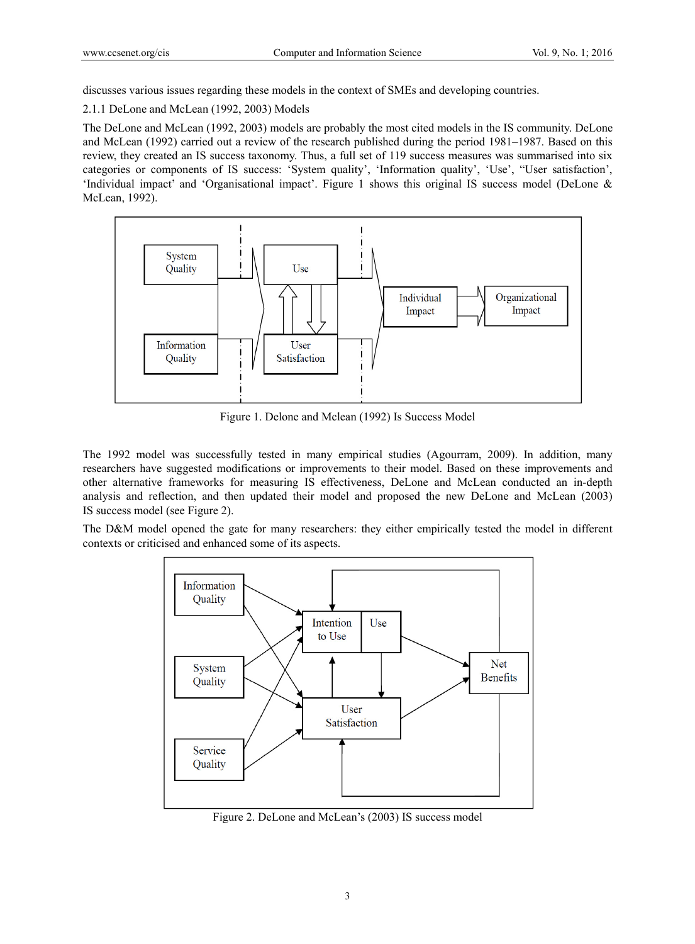discusses various issues regarding these models in the context of SMEs and developing countries.

2.1.1 DeLone and McLean (1992, 2003) Models

The DeLone and McLean (1992, 2003) models are probably the most cited models in the IS community. DeLone and McLean (1992) carried out a review of the research published during the period 1981–1987. Based on this review, they created an IS success taxonomy. Thus, a full set of 119 success measures was summarised into six categories or components of IS success: 'System quality', 'Information quality', 'Use', "User satisfaction', 'Individual impact' and 'Organisational impact'. Figure 1 shows this original IS success model (DeLone & McLean, 1992).



Figure 1. Delone and Mclean (1992) Is Success Model

The 1992 model was successfully tested in many empirical studies (Agourram, 2009). In addition, many researchers have suggested modifications or improvements to their model. Based on these improvements and other alternative frameworks for measuring IS effectiveness, DeLone and McLean conducted an in-depth analysis and reflection, and then updated their model and proposed the new DeLone and McLean (2003) IS success model (see Figure 2).

The D&M model opened the gate for many researchers: they either empirically tested the model in different contexts or criticised and enhanced some of its aspects.



Figure 2. DeLone and McLean's (2003) IS success model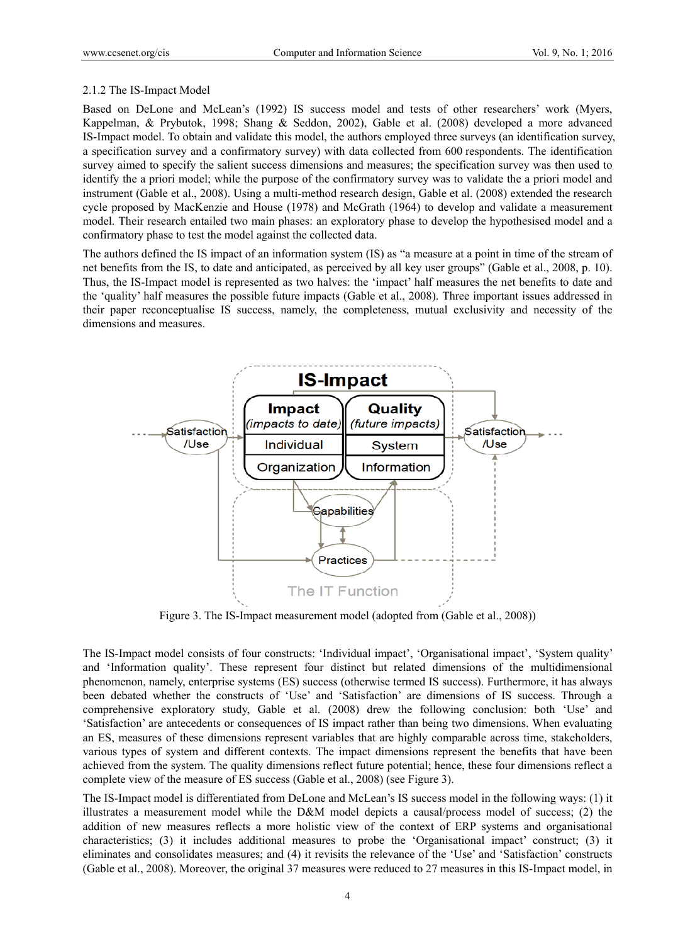## 2.1.2 The IS-Impact Model

Based on DeLone and McLean's (1992) IS success model and tests of other researchers' work (Myers, Kappelman, & Prybutok, 1998; Shang & Seddon, 2002), Gable et al. (2008) developed a more advanced IS-Impact model. To obtain and validate this model, the authors employed three surveys (an identification survey, a specification survey and a confirmatory survey) with data collected from 600 respondents. The identification survey aimed to specify the salient success dimensions and measures; the specification survey was then used to identify the a priori model; while the purpose of the confirmatory survey was to validate the a priori model and instrument (Gable et al., 2008). Using a multi-method research design, Gable et al. (2008) extended the research cycle proposed by MacKenzie and House (1978) and McGrath (1964) to develop and validate a measurement model. Their research entailed two main phases: an exploratory phase to develop the hypothesised model and a confirmatory phase to test the model against the collected data.

The authors defined the IS impact of an information system (IS) as "a measure at a point in time of the stream of net benefits from the IS, to date and anticipated, as perceived by all key user groups" (Gable et al., 2008, p. 10). Thus, the IS-Impact model is represented as two halves: the 'impact' half measures the net benefits to date and the 'quality' half measures the possible future impacts (Gable et al., 2008). Three important issues addressed in their paper reconceptualise IS success, namely, the completeness, mutual exclusivity and necessity of the dimensions and measures.



Figure 3. The IS-Impact measurement model (adopted from (Gable et al., 2008))

The IS-Impact model consists of four constructs: 'Individual impact', 'Organisational impact', 'System quality' and 'Information quality'. These represent four distinct but related dimensions of the multidimensional phenomenon, namely, enterprise systems (ES) success (otherwise termed IS success). Furthermore, it has always been debated whether the constructs of 'Use' and 'Satisfaction' are dimensions of IS success. Through a comprehensive exploratory study, Gable et al. (2008) drew the following conclusion: both 'Use' and 'Satisfaction' are antecedents or consequences of IS impact rather than being two dimensions. When evaluating an ES, measures of these dimensions represent variables that are highly comparable across time, stakeholders, various types of system and different contexts. The impact dimensions represent the benefits that have been achieved from the system. The quality dimensions reflect future potential; hence, these four dimensions reflect a complete view of the measure of ES success (Gable et al., 2008) (see Figure 3).

The IS-Impact model is differentiated from DeLone and McLean's IS success model in the following ways: (1) it illustrates a measurement model while the D&M model depicts a causal/process model of success; (2) the addition of new measures reflects a more holistic view of the context of ERP systems and organisational characteristics; (3) it includes additional measures to probe the 'Organisational impact' construct; (3) it eliminates and consolidates measures; and (4) it revisits the relevance of the 'Use' and 'Satisfaction' constructs (Gable et al., 2008). Moreover, the original 37 measures were reduced to 27 measures in this IS-Impact model, in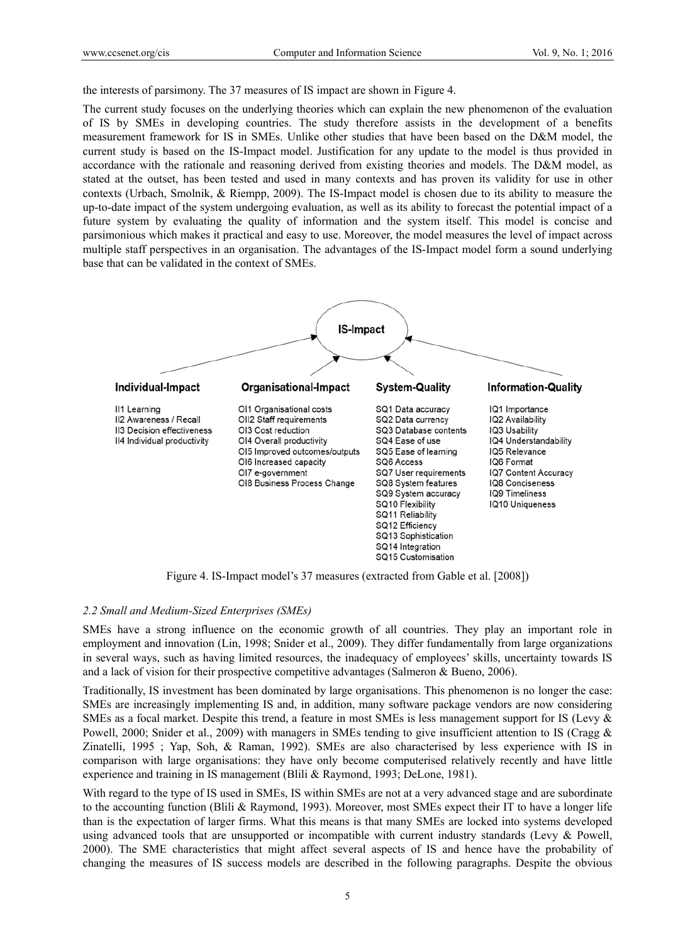the interests of parsimony. The 37 measures of IS impact are shown in Figure 4.

The current study focuses on the underlying theories which can explain the new phenomenon of the evaluation of IS by SMEs in developing countries. The study therefore assists in the development of a benefits measurement framework for IS in SMEs. Unlike other studies that have been based on the D&M model, the current study is based on the IS-Impact model. Justification for any update to the model is thus provided in accordance with the rationale and reasoning derived from existing theories and models. The D&M model, as stated at the outset, has been tested and used in many contexts and has proven its validity for use in other contexts (Urbach, Smolnik, & Riempp, 2009). The IS-Impact model is chosen due to its ability to measure the up-to-date impact of the system undergoing evaluation, as well as its ability to forecast the potential impact of a future system by evaluating the quality of information and the system itself. This model is concise and parsimonious which makes it practical and easy to use. Moreover, the model measures the level of impact across multiple staff perspectives in an organisation. The advantages of the IS-Impact model form a sound underlying base that can be validated in the context of SMEs.



Figure 4. IS-Impact model's 37 measures (extracted from Gable et al. [2008])

## *2.2 Small and Medium-Sized Enterprises (SMEs)*

SMEs have a strong influence on the economic growth of all countries. They play an important role in employment and innovation (Lin, 1998; Snider et al., 2009). They differ fundamentally from large organizations in several ways, such as having limited resources, the inadequacy of employees' skills, uncertainty towards IS and a lack of vision for their prospective competitive advantages (Salmeron & Bueno, 2006).

Traditionally, IS investment has been dominated by large organisations. This phenomenon is no longer the case: SMEs are increasingly implementing IS and, in addition, many software package vendors are now considering SMEs as a focal market. Despite this trend, a feature in most SMEs is less management support for IS (Levy & Powell, 2000; Snider et al., 2009) with managers in SMEs tending to give insufficient attention to IS (Cragg & Zinatelli, 1995 ; Yap, Soh, & Raman, 1992). SMEs are also characterised by less experience with IS in comparison with large organisations: they have only become computerised relatively recently and have little experience and training in IS management (Blili & Raymond, 1993; DeLone, 1981).

With regard to the type of IS used in SMEs, IS within SMEs are not at a very advanced stage and are subordinate to the accounting function (Blili & Raymond, 1993). Moreover, most SMEs expect their IT to have a longer life than is the expectation of larger firms. What this means is that many SMEs are locked into systems developed using advanced tools that are unsupported or incompatible with current industry standards (Levy & Powell, 2000). The SME characteristics that might affect several aspects of IS and hence have the probability of changing the measures of IS success models are described in the following paragraphs. Despite the obvious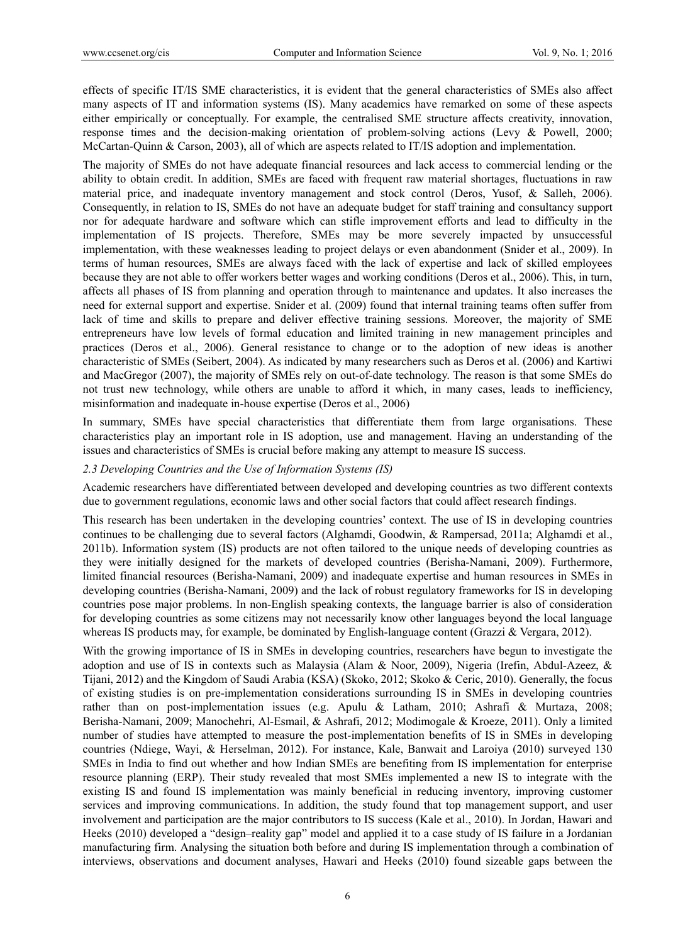effects of specific IT/IS SME characteristics, it is evident that the general characteristics of SMEs also affect many aspects of IT and information systems (IS). Many academics have remarked on some of these aspects either empirically or conceptually. For example, the centralised SME structure affects creativity, innovation, response times and the decision-making orientation of problem-solving actions (Levy & Powell, 2000; McCartan-Quinn & Carson, 2003), all of which are aspects related to IT/IS adoption and implementation.

The majority of SMEs do not have adequate financial resources and lack access to commercial lending or the ability to obtain credit. In addition, SMEs are faced with frequent raw material shortages, fluctuations in raw material price, and inadequate inventory management and stock control (Deros, Yusof, & Salleh, 2006). Consequently, in relation to IS, SMEs do not have an adequate budget for staff training and consultancy support nor for adequate hardware and software which can stifle improvement efforts and lead to difficulty in the implementation of IS projects. Therefore, SMEs may be more severely impacted by unsuccessful implementation, with these weaknesses leading to project delays or even abandonment (Snider et al., 2009). In terms of human resources, SMEs are always faced with the lack of expertise and lack of skilled employees because they are not able to offer workers better wages and working conditions (Deros et al., 2006). This, in turn, affects all phases of IS from planning and operation through to maintenance and updates. It also increases the need for external support and expertise. Snider et al. (2009) found that internal training teams often suffer from lack of time and skills to prepare and deliver effective training sessions. Moreover, the majority of SME entrepreneurs have low levels of formal education and limited training in new management principles and practices (Deros et al., 2006). General resistance to change or to the adoption of new ideas is another characteristic of SMEs (Seibert, 2004). As indicated by many researchers such as Deros et al. (2006) and Kartiwi and MacGregor (2007), the majority of SMEs rely on out-of-date technology. The reason is that some SMEs do not trust new technology, while others are unable to afford it which, in many cases, leads to inefficiency, misinformation and inadequate in-house expertise (Deros et al., 2006)

In summary, SMEs have special characteristics that differentiate them from large organisations. These characteristics play an important role in IS adoption, use and management. Having an understanding of the issues and characteristics of SMEs is crucial before making any attempt to measure IS success.

#### *2.3 Developing Countries and the Use of Information Systems (IS)*

Academic researchers have differentiated between developed and developing countries as two different contexts due to government regulations, economic laws and other social factors that could affect research findings.

This research has been undertaken in the developing countries' context. The use of IS in developing countries continues to be challenging due to several factors (Alghamdi, Goodwin, & Rampersad, 2011a; Alghamdi et al., 2011b). Information system (IS) products are not often tailored to the unique needs of developing countries as they were initially designed for the markets of developed countries (Berisha-Namani, 2009). Furthermore, limited financial resources (Berisha-Namani, 2009) and inadequate expertise and human resources in SMEs in developing countries (Berisha-Namani, 2009) and the lack of robust regulatory frameworks for IS in developing countries pose major problems. In non-English speaking contexts, the language barrier is also of consideration for developing countries as some citizens may not necessarily know other languages beyond the local language whereas IS products may, for example, be dominated by English-language content (Grazzi & Vergara, 2012).

With the growing importance of IS in SMEs in developing countries, researchers have begun to investigate the adoption and use of IS in contexts such as Malaysia (Alam & Noor, 2009), Nigeria (Irefin, Abdul-Azeez, & Tijani, 2012) and the Kingdom of Saudi Arabia (KSA) (Skoko, 2012; Skoko & Ceric, 2010). Generally, the focus of existing studies is on pre-implementation considerations surrounding IS in SMEs in developing countries rather than on post-implementation issues (e.g. Apulu & Latham, 2010; Ashrafi & Murtaza, 2008; Berisha-Namani, 2009; Manochehri, Al-Esmail, & Ashrafi, 2012; Modimogale & Kroeze, 2011). Only a limited number of studies have attempted to measure the post-implementation benefits of IS in SMEs in developing countries (Ndiege, Wayi, & Herselman, 2012). For instance, Kale, Banwait and Laroiya (2010) surveyed 130 SMEs in India to find out whether and how Indian SMEs are benefiting from IS implementation for enterprise resource planning (ERP). Their study revealed that most SMEs implemented a new IS to integrate with the existing IS and found IS implementation was mainly beneficial in reducing inventory, improving customer services and improving communications. In addition, the study found that top management support, and user involvement and participation are the major contributors to IS success (Kale et al., 2010). In Jordan, Hawari and Heeks (2010) developed a "design–reality gap" model and applied it to a case study of IS failure in a Jordanian manufacturing firm. Analysing the situation both before and during IS implementation through a combination of interviews, observations and document analyses, Hawari and Heeks (2010) found sizeable gaps between the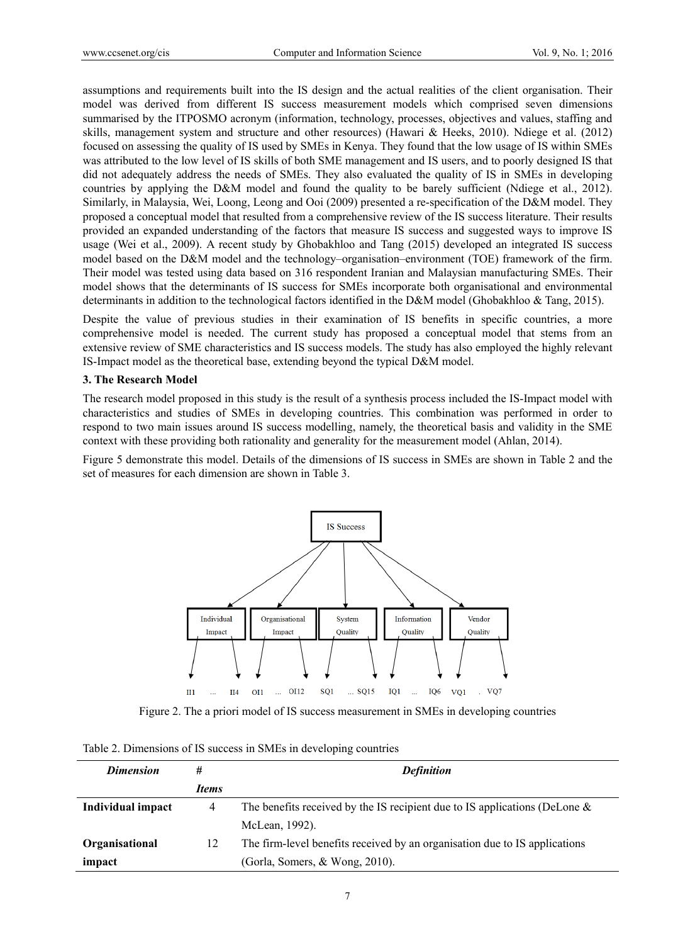assumptions and requirements built into the IS design and the actual realities of the client organisation. Their model was derived from different IS success measurement models which comprised seven dimensions summarised by the ITPOSMO acronym (information, technology, processes, objectives and values, staffing and skills, management system and structure and other resources) (Hawari & Heeks, 2010). Ndiege et al. (2012) focused on assessing the quality of IS used by SMEs in Kenya. They found that the low usage of IS within SMEs was attributed to the low level of IS skills of both SME management and IS users, and to poorly designed IS that did not adequately address the needs of SMEs. They also evaluated the quality of IS in SMEs in developing countries by applying the D&M model and found the quality to be barely sufficient (Ndiege et al., 2012). Similarly, in Malaysia, Wei, Loong, Leong and Ooi (2009) presented a re-specification of the D&M model. They proposed a conceptual model that resulted from a comprehensive review of the IS success literature. Their results provided an expanded understanding of the factors that measure IS success and suggested ways to improve IS usage (Wei et al., 2009). A recent study by Ghobakhloo and Tang (2015) developed an integrated IS success model based on the D&M model and the technology–organisation–environment (TOE) framework of the firm. Their model was tested using data based on 316 respondent Iranian and Malaysian manufacturing SMEs. Their model shows that the determinants of IS success for SMEs incorporate both organisational and environmental determinants in addition to the technological factors identified in the D&M model (Ghobakhloo & Tang, 2015).

Despite the value of previous studies in their examination of IS benefits in specific countries, a more comprehensive model is needed. The current study has proposed a conceptual model that stems from an extensive review of SME characteristics and IS success models. The study has also employed the highly relevant IS-Impact model as the theoretical base, extending beyond the typical D&M model.

#### **3. The Research Model**

The research model proposed in this study is the result of a synthesis process included the IS-Impact model with characteristics and studies of SMEs in developing countries. This combination was performed in order to respond to two main issues around IS success modelling, namely, the theoretical basis and validity in the SME context with these providing both rationality and generality for the measurement model (Ahlan, 2014).

Figure 5 demonstrate this model. Details of the dimensions of IS success in SMEs are shown in Table 2 and the set of measures for each dimension are shown in Table 3.



Figure 2. The a priori model of IS success measurement in SMEs in developing countries

|  | Table 2. Dimensions of IS success in SMEs in developing countries |
|--|-------------------------------------------------------------------|
|  |                                                                   |

| <b>Dimension</b>  | #            | <b>Definition</b>                                                             |
|-------------------|--------------|-------------------------------------------------------------------------------|
|                   | <i>Items</i> |                                                                               |
| Individual impact | 4            | The benefits received by the IS recipient due to IS applications (DeLone $\&$ |
|                   |              | McLean, 1992).                                                                |
| Organisational    | 12           | The firm-level benefits received by an organisation due to IS applications    |
| impact            |              | (Gorla, Somers, & Wong, 2010).                                                |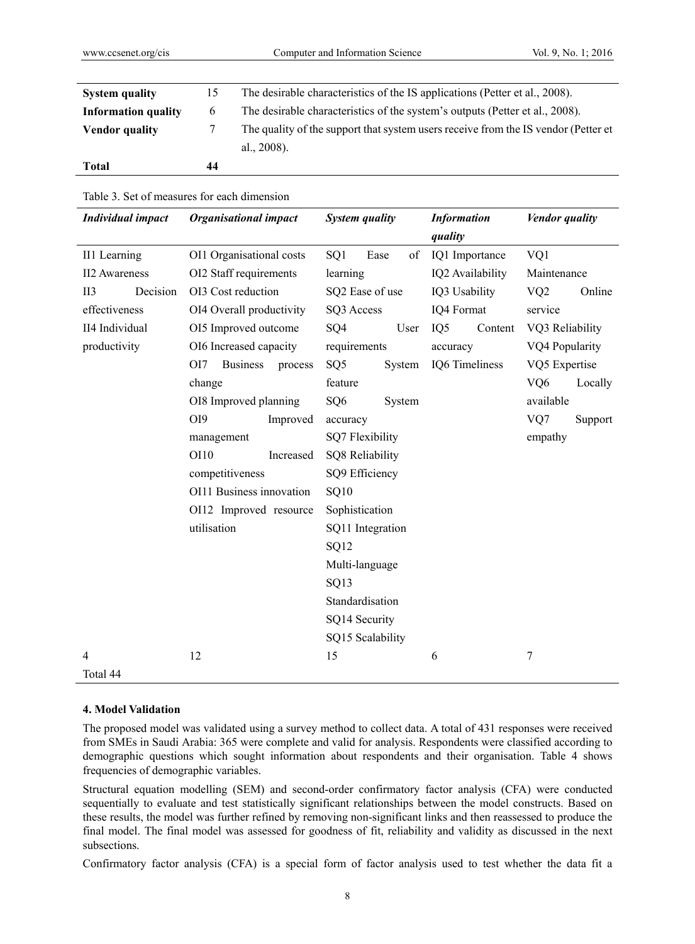| <b>System quality</b>      | 15 <sup>1</sup> | The desirable characteristics of the IS applications (Petter et al., 2008).        |
|----------------------------|-----------------|------------------------------------------------------------------------------------|
| <b>Information quality</b> | 6               | The desirable characteristics of the system's outputs (Petter et al., 2008).       |
| <b>Vendor</b> quality      |                 | The quality of the support that system users receive from the IS vendor (Petter et |
|                            |                 | al., $2008$ ).                                                                     |
| <b>Total</b>               | 44              |                                                                                    |

#### Table 3. Set of measures for each dimension

| <b>Individual impact</b> |          | <b>Organisational impact</b> |           |                 | <b>System quality</b><br><b>Information</b> |                 | <b>Vendor</b> quality |                 |         |
|--------------------------|----------|------------------------------|-----------|-----------------|---------------------------------------------|-----------------|-----------------------|-----------------|---------|
|                          |          |                              |           |                 |                                             | quality         |                       |                 |         |
| II1 Learning             |          | OI1 Organisational costs     |           | SQ <sub>1</sub> | of<br>Ease                                  |                 | IQ1 Importance        | VQ1             |         |
| <b>II2 Awareness</b>     |          | OI2 Staff requirements       |           | learning        |                                             |                 | IQ2 Availability      | Maintenance     |         |
| II3                      | Decision | OI3 Cost reduction           |           |                 | SQ2 Ease of use                             | IQ3 Usability   |                       | VQ <sub>2</sub> | Online  |
| effectiveness            |          | OI4 Overall productivity     |           | SQ3 Access      |                                             | IQ4 Format      |                       | service         |         |
| II4 Individual           |          | OI5 Improved outcome         |           | SQ4             | User                                        | IQ <sub>5</sub> | Content               | VQ3 Reliability |         |
| productivity             |          | OI6 Increased capacity       |           | requirements    |                                             | accuracy        |                       | VQ4 Popularity  |         |
|                          |          | <b>Business</b><br>OI7       | process   | SQ <sub>5</sub> | System                                      |                 | IQ6 Timeliness        | VQ5 Expertise   |         |
|                          |          | change                       |           | feature         |                                             |                 |                       | VQ6             | Locally |
|                          |          | OI8 Improved planning        |           | SQ <sub>6</sub> | System                                      |                 |                       | available       |         |
|                          |          | OI9                          | Improved  | accuracy        |                                             |                 |                       | VQ7             | Support |
|                          |          | management                   |           |                 | SQ7 Flexibility                             |                 |                       | empathy         |         |
|                          |          | OI10                         | Increased |                 | SQ8 Reliability                             |                 |                       |                 |         |
|                          |          | competitiveness              |           |                 | SQ9 Efficiency                              |                 |                       |                 |         |
|                          |          | OI11 Business innovation     |           | <b>SQ10</b>     |                                             |                 |                       |                 |         |
|                          |          | OI12 Improved resource       |           | Sophistication  |                                             |                 |                       |                 |         |
|                          |          | utilisation                  |           |                 | SQ11 Integration                            |                 |                       |                 |         |
|                          |          |                              |           | SQ12            |                                             |                 |                       |                 |         |
|                          |          |                              |           |                 | Multi-language                              |                 |                       |                 |         |
|                          |          |                              |           | SQ13            |                                             |                 |                       |                 |         |
|                          |          |                              |           |                 | Standardisation                             |                 |                       |                 |         |
|                          |          |                              |           | SQ14 Security   |                                             |                 |                       |                 |         |
|                          |          |                              |           |                 | SQ15 Scalability                            |                 |                       |                 |         |
| 4                        |          | 12                           |           | 15              |                                             | 6               |                       | 7               |         |
| Total 44                 |          |                              |           |                 |                                             |                 |                       |                 |         |

#### **4. Model Validation**

The proposed model was validated using a survey method to collect data. A total of 431 responses were received from SMEs in Saudi Arabia: 365 were complete and valid for analysis. Respondents were classified according to demographic questions which sought information about respondents and their organisation. Table 4 shows frequencies of demographic variables.

Structural equation modelling (SEM) and second-order confirmatory factor analysis (CFA) were conducted sequentially to evaluate and test statistically significant relationships between the model constructs. Based on these results, the model was further refined by removing non-significant links and then reassessed to produce the final model. The final model was assessed for goodness of fit, reliability and validity as discussed in the next subsections.

Confirmatory factor analysis (CFA) is a special form of factor analysis used to test whether the data fit a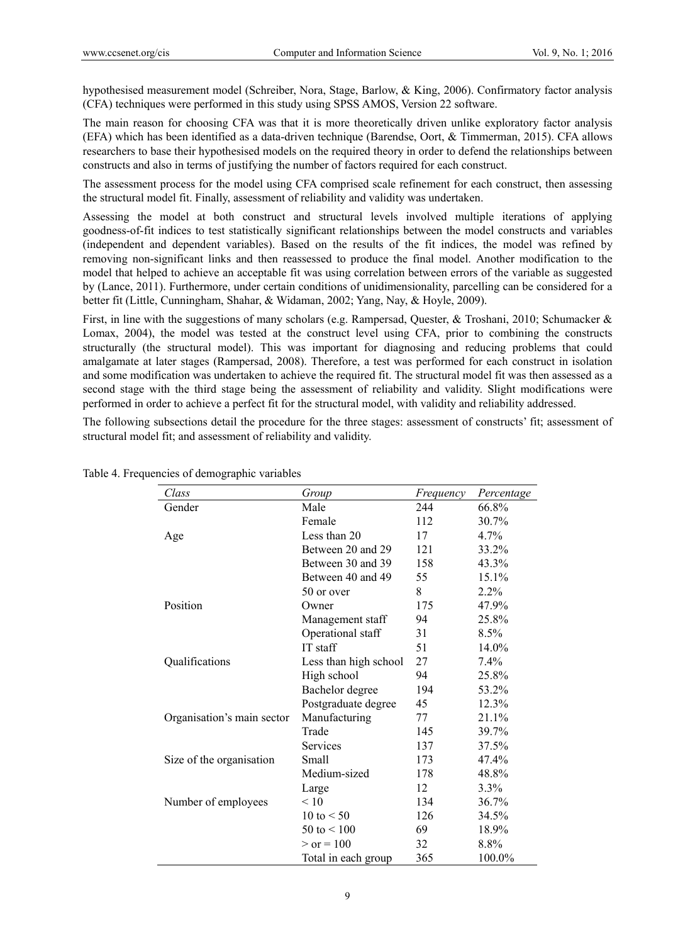hypothesised measurement model (Schreiber, Nora, Stage, Barlow, & King, 2006). Confirmatory factor analysis (CFA) techniques were performed in this study using SPSS AMOS, Version 22 software.

The main reason for choosing CFA was that it is more theoretically driven unlike exploratory factor analysis (EFA) which has been identified as a data-driven technique (Barendse, Oort, & Timmerman, 2015). CFA allows researchers to base their hypothesised models on the required theory in order to defend the relationships between constructs and also in terms of justifying the number of factors required for each construct.

The assessment process for the model using CFA comprised scale refinement for each construct, then assessing the structural model fit. Finally, assessment of reliability and validity was undertaken.

Assessing the model at both construct and structural levels involved multiple iterations of applying goodness-of-fit indices to test statistically significant relationships between the model constructs and variables (independent and dependent variables). Based on the results of the fit indices, the model was refined by removing non-significant links and then reassessed to produce the final model. Another modification to the model that helped to achieve an acceptable fit was using correlation between errors of the variable as suggested by (Lance, 2011). Furthermore, under certain conditions of unidimensionality, parcelling can be considered for a better fit (Little, Cunningham, Shahar, & Widaman, 2002; Yang, Nay, & Hoyle, 2009).

First, in line with the suggestions of many scholars (e.g. Rampersad, Quester, & Troshani, 2010; Schumacker & Lomax, 2004), the model was tested at the construct level using CFA, prior to combining the constructs structurally (the structural model). This was important for diagnosing and reducing problems that could amalgamate at later stages (Rampersad, 2008). Therefore, a test was performed for each construct in isolation and some modification was undertaken to achieve the required fit. The structural model fit was then assessed as a second stage with the third stage being the assessment of reliability and validity. Slight modifications were performed in order to achieve a perfect fit for the structural model, with validity and reliability addressed.

The following subsections detail the procedure for the three stages: assessment of constructs' fit; assessment of structural model fit; and assessment of reliability and validity.

| Class                      | Group                 | Frequency | Percentage |
|----------------------------|-----------------------|-----------|------------|
| Gender                     | Male                  | 244       | 66.8%      |
|                            | Female                | 112       | 30.7%      |
| Age                        | Less than 20          | 17        | 4.7%       |
|                            | Between 20 and 29     | 121       | 33.2%      |
|                            | Between 30 and 39     | 158       | 43.3%      |
|                            | Between 40 and 49     | 55        | 15.1%      |
|                            | 50 or over            | 8         | $2.2\%$    |
| Position                   | Owner                 | 175       | 47.9%      |
|                            | Management staff      | 94        | 25.8%      |
|                            | Operational staff     | 31        | 8.5%       |
|                            | IT staff              | 51        | 14.0%      |
| Qualifications             | Less than high school | 27        | $7.4\%$    |
|                            | High school           | 94        | 25.8%      |
|                            | Bachelor degree       | 194       | 53.2%      |
|                            | Postgraduate degree   | 45        | 12.3%      |
| Organisation's main sector | Manufacturing         | 77        | 21.1%      |
|                            | Trade                 | 145       | 39.7%      |
|                            | Services              | 137       | 37.5%      |
| Size of the organisation   | Small                 | 173       | 47.4%      |
|                            | Medium-sized          | 178       | 48.8%      |
|                            | Large                 | 12        | $3.3\%$    |
| Number of employees        | $\leq 10$             | 134       | 36.7%      |
|                            | 10 to $\leq 50$       | 126       | 34.5%      |
|                            | $50 \text{ to } 500$  | 69        | 18.9%      |
|                            | $>$ or = 100          | 32        | 8.8%       |
|                            | Total in each group   | 365       | 100.0%     |

Table 4. Frequencies of demographic variables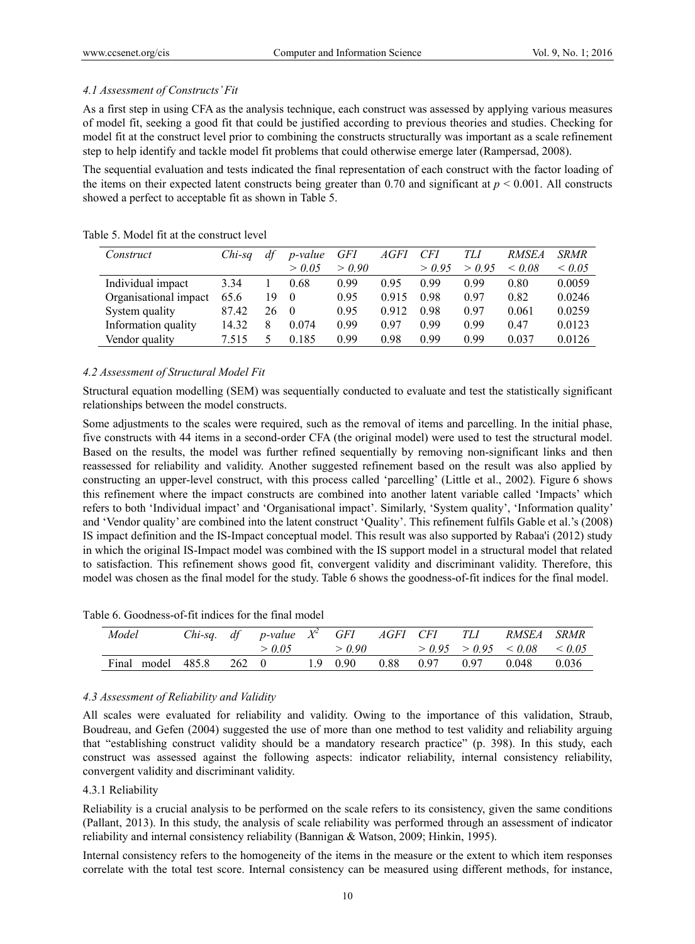#### *4.1 Assessment of Constructs' Fit*

As a first step in using CFA as the analysis technique, each construct was assessed by applying various measures of model fit, seeking a good fit that could be justified according to previous theories and studies. Checking for model fit at the construct level prior to combining the constructs structurally was important as a scale refinement step to help identify and tackle model fit problems that could otherwise emerge later (Rampersad, 2008).

The sequential evaluation and tests indicated the final representation of each construct with the factor loading of the items on their expected latent constructs being greater than 0.70 and significant at *p* < 0.001. All constructs showed a perfect to acceptable fit as shown in Table 5.

| Construct             | $Chi$ -sa | df | <i>p</i> -value | <b>GFI</b> | <i>AGFI</i> | <b>CFI</b> | TIJ    | <b>RMSEA</b> | <b>SRMR</b> |
|-----------------------|-----------|----|-----------------|------------|-------------|------------|--------|--------------|-------------|
|                       |           |    | > 0.05          | > 0.90     |             | > 0.95     | > 0.95 | $\leq$ 0.08  | ${}< 0.05$  |
| Individual impact     | 3.34      |    | 0.68            | 0.99       | 0.95        | 0.99       | 0.99   | 0.80         | 0.0059      |
| Organisational impact | 65.6      | 19 | $\theta$        | 0.95       | 0.915       | 0.98       | 0.97   | 0.82         | 0.0246      |
| System quality        | 87.42     | 26 | $\Omega$        | 0.95       | 0.912       | 0.98       | 0.97   | 0.061        | 0.0259      |
| Information quality   | 14.32     | 8  | 0.074           | 0.99       | 0.97        | 0.99       | 0.99   | 0.47         | 0.0123      |
| Vendor quality        | 7.515     |    | 0.185           | 0.99       | 0.98        | 0.99       | 0.99   | 0.037        | 0.0126      |

#### Table 5. Model fit at the construct level

## *4.2 Assessment of Structural Model Fit*

Structural equation modelling (SEM) was sequentially conducted to evaluate and test the statistically significant relationships between the model constructs.

Some adjustments to the scales were required, such as the removal of items and parcelling. In the initial phase, five constructs with 44 items in a second-order CFA (the original model) were used to test the structural model. Based on the results, the model was further refined sequentially by removing non-significant links and then reassessed for reliability and validity. Another suggested refinement based on the result was also applied by constructing an upper-level construct, with this process called 'parcelling' (Little et al., 2002). Figure 6 shows this refinement where the impact constructs are combined into another latent variable called 'Impacts' which refers to both 'Individual impact' and 'Organisational impact'. Similarly, 'System quality', 'Information quality' and 'Vendor quality' are combined into the latent construct 'Quality'. This refinement fulfils Gable et al.'s (2008) IS impact definition and the IS-Impact conceptual model. This result was also supported by Rabaa'i (2012) study in which the original IS-Impact model was combined with the IS support model in a structural model that related to satisfaction. This refinement shows good fit, convergent validity and discriminant validity. Therefore, this model was chosen as the final model for the study. Table 6 shows the goodness-of-fit indices for the final model.

| Model             |       | > 0.05 |          |           |             | Chi-sq. df $p$ -value $X^2$ GFI AGFI CFI TLI RMSEA SRMR<br>$> 0.90$ $> 0.95$ $> 0.95$ $< 0.08$ $< 0.05$ |       |
|-------------------|-------|--------|----------|-----------|-------------|---------------------------------------------------------------------------------------------------------|-------|
| Final model 485.8 | 262 0 |        | 1.9 0.90 | 0.88 0.97 | $\sim 0.97$ | 0.048                                                                                                   | 0.036 |

Table 6. Goodness-of-fit indices for the final model

### *4.3 Assessment of Reliability and Validity*

All scales were evaluated for reliability and validity. Owing to the importance of this validation, Straub, Boudreau, and Gefen (2004) suggested the use of more than one method to test validity and reliability arguing that "establishing construct validity should be a mandatory research practice" (p. 398). In this study, each construct was assessed against the following aspects: indicator reliability, internal consistency reliability, convergent validity and discriminant validity.

#### 4.3.1 Reliability

Reliability is a crucial analysis to be performed on the scale refers to its consistency, given the same conditions (Pallant, 2013). In this study, the analysis of scale reliability was performed through an assessment of indicator reliability and internal consistency reliability (Bannigan & Watson, 2009; Hinkin, 1995).

Internal consistency refers to the homogeneity of the items in the measure or the extent to which item responses correlate with the total test score. Internal consistency can be measured using different methods, for instance,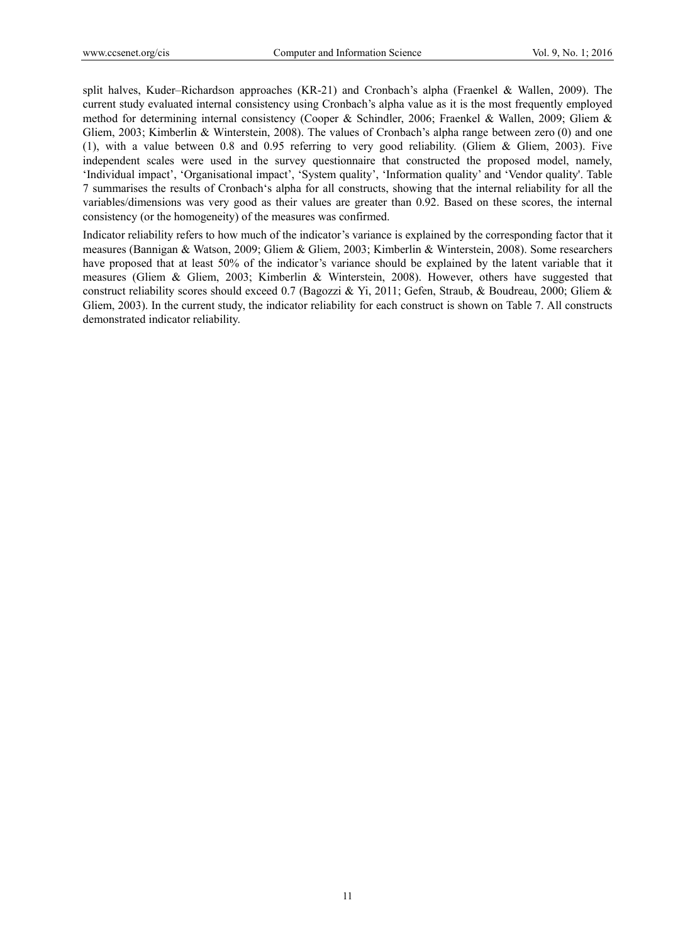split halves, Kuder–Richardson approaches (KR-21) and Cronbach's alpha (Fraenkel & Wallen, 2009). The current study evaluated internal consistency using Cronbach's alpha value as it is the most frequently employed method for determining internal consistency (Cooper & Schindler, 2006; Fraenkel & Wallen, 2009; Gliem & Gliem, 2003; Kimberlin & Winterstein, 2008). The values of Cronbach's alpha range between zero (0) and one (1), with a value between 0.8 and 0.95 referring to very good reliability. (Gliem & Gliem, 2003). Five independent scales were used in the survey questionnaire that constructed the proposed model, namely, 'Individual impact', 'Organisational impact', 'System quality', 'Information quality' and 'Vendor quality'. Table 7 summarises the results of Cronbach's alpha for all constructs, showing that the internal reliability for all the variables/dimensions was very good as their values are greater than 0.92. Based on these scores, the internal consistency (or the homogeneity) of the measures was confirmed.

Indicator reliability refers to how much of the indicator's variance is explained by the corresponding factor that it measures (Bannigan & Watson, 2009; Gliem & Gliem, 2003; Kimberlin & Winterstein, 2008). Some researchers have proposed that at least 50% of the indicator's variance should be explained by the latent variable that it measures (Gliem & Gliem, 2003; Kimberlin & Winterstein, 2008). However, others have suggested that construct reliability scores should exceed 0.7 (Bagozzi & Yi, 2011; Gefen, Straub, & Boudreau, 2000; Gliem & Gliem, 2003). In the current study, the indicator reliability for each construct is shown on Table 7. All constructs demonstrated indicator reliability.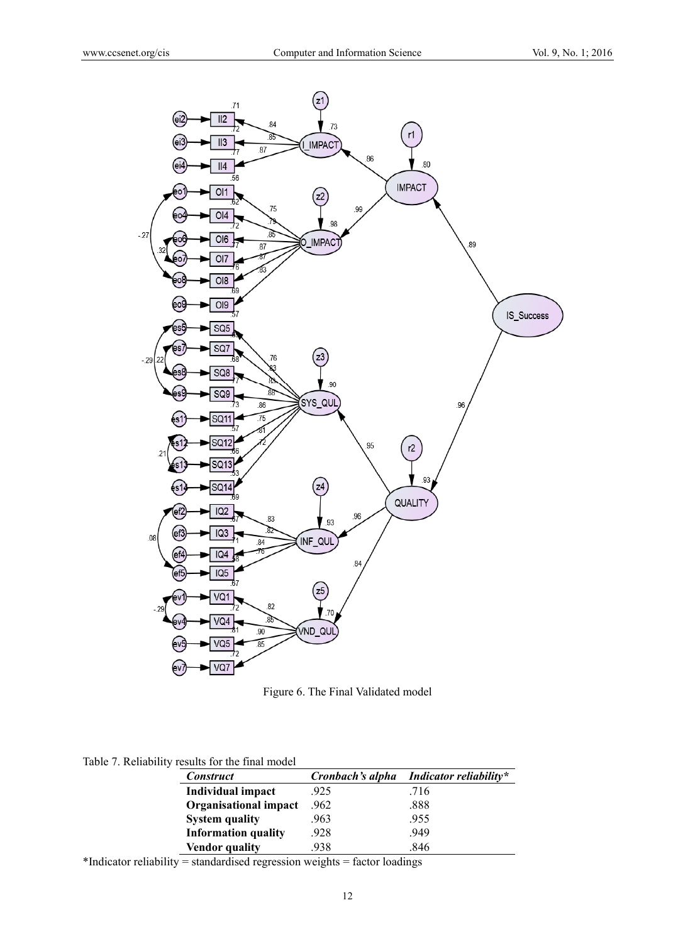

Figure 6. The Final Validated model

Table 7. Reliability results for the final model

| <b>Construct</b>             | Cronbach's alpha | <b>Indicator reliability</b> * |
|------------------------------|------------------|--------------------------------|
| Individual impact            | .925             | .716                           |
| <b>Organisational impact</b> | .962             | .888                           |
| <b>System quality</b>        | .963             | .955                           |
| <b>Information quality</b>   | .928             | .949                           |
| <b>Vendor quality</b>        | .938             | .846                           |

\*Indicator reliability = standardised regression weights = factor loadings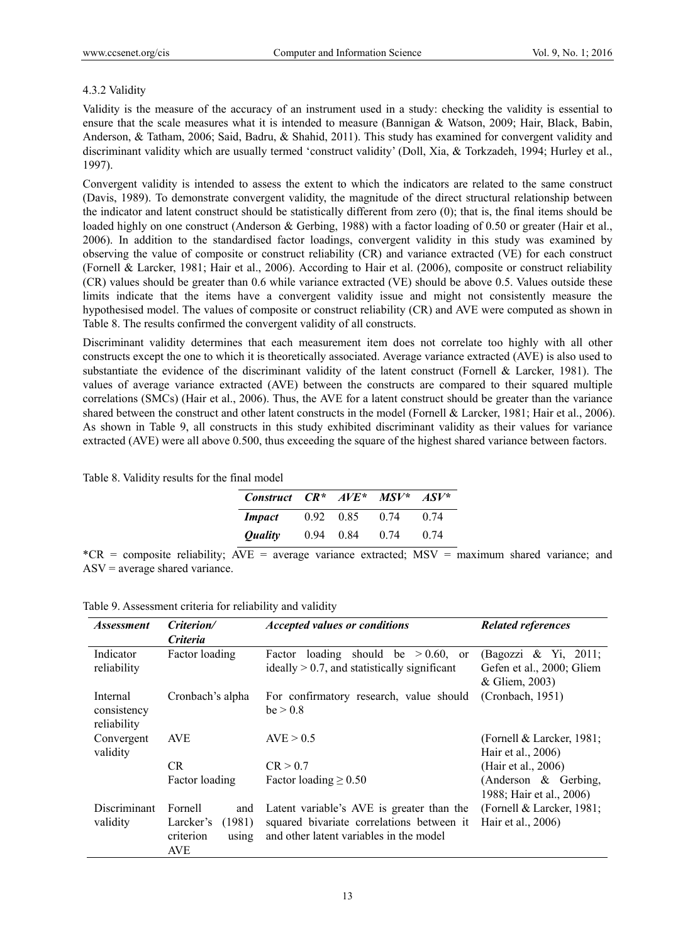# 4.3.2 Validity

Validity is the measure of the accuracy of an instrument used in a study: checking the validity is essential to ensure that the scale measures what it is intended to measure (Bannigan & Watson, 2009; Hair, Black, Babin, Anderson, & Tatham, 2006; Said, Badru, & Shahid, 2011). This study has examined for convergent validity and discriminant validity which are usually termed 'construct validity' (Doll, Xia, & Torkzadeh, 1994; Hurley et al., 1997).

Convergent validity is intended to assess the extent to which the indicators are related to the same construct (Davis, 1989). To demonstrate convergent validity, the magnitude of the direct structural relationship between the indicator and latent construct should be statistically different from zero (0); that is, the final items should be loaded highly on one construct (Anderson & Gerbing, 1988) with a factor loading of 0.50 or greater (Hair et al., 2006). In addition to the standardised factor loadings, convergent validity in this study was examined by observing the value of composite or construct reliability (CR) and variance extracted (VE) for each construct (Fornell & Larcker, 1981; Hair et al., 2006). According to Hair et al. (2006), composite or construct reliability (CR) values should be greater than 0.6 while variance extracted (VE) should be above 0.5. Values outside these limits indicate that the items have a convergent validity issue and might not consistently measure the hypothesised model. The values of composite or construct reliability (CR) and AVE were computed as shown in Table 8. The results confirmed the convergent validity of all constructs.

Discriminant validity determines that each measurement item does not correlate too highly with all other constructs except the one to which it is theoretically associated. Average variance extracted (AVE) is also used to substantiate the evidence of the discriminant validity of the latent construct (Fornell & Larcker, 1981). The values of average variance extracted (AVE) between the constructs are compared to their squared multiple correlations (SMCs) (Hair et al., 2006). Thus, the AVE for a latent construct should be greater than the variance shared between the construct and other latent constructs in the model (Fornell & Larcker, 1981; Hair et al., 2006). As shown in Table 9, all constructs in this study exhibited discriminant validity as their values for variance extracted (AVE) were all above 0.500, thus exceeding the square of the highest shared variance between factors.

Table 8. Validity results for the final model

| $Construct \quad CR^*$ |      | $AVE^*$ | $MSV^*$ | $ASV^*$ |
|------------------------|------|---------|---------|---------|
| <i>Impact</i>          | 0.92 | 0.85    | 0.74    | 0.74    |
| <i><b>Quality</b></i>  | 0.94 | 0.84    | 0.74    | 0.74    |

 $*CR$  = composite reliability; AVE = average variance extracted; MSV = maximum shared variance; and  $ASV = average shared variance.$ 

| <i>Assessment</i>                      | Criterion/<br><i>Criteria</i>                    | <b>Accepted values or conditions</b>                                                            | <b>Related references</b>                                           |  |
|----------------------------------------|--------------------------------------------------|-------------------------------------------------------------------------------------------------|---------------------------------------------------------------------|--|
| Indicator<br>reliability               | Factor loading                                   | loading<br>should be $> 0.60$ , or<br>Factor<br>ideally $> 0.7$ , and statistically significant | (Bagozzi & Yi, 2011;<br>Gefen et al., 2000; Gliem<br>& Gliem, 2003) |  |
| Internal<br>consistency<br>reliability | Cronbach's alpha                                 | For confirmatory research, value should<br>be > 0.8                                             | (Cronbach, 1951)                                                    |  |
| Convergent<br>validity                 | <b>AVE</b>                                       | AVE > 0.5                                                                                       | (Fornell $& \text{Larcker}, 1981;$<br>Hair et al., 2006)            |  |
|                                        | CR.                                              | CR > 0.7                                                                                        | (Hair et al., 2006)                                                 |  |
|                                        | Factor loading                                   | Factor loading $\geq 0.50$                                                                      | (Anderson $\&$ Gerbing,<br>1988; Hair et al., 2006)                 |  |
| <b>Discriminant</b>                    | <b>Fornell</b><br>and                            | Latent variable's AVE is greater than the                                                       | (Fornell $& \text{Larcker}, 1981;$                                  |  |
| validity                               | (1981)<br>Larcker's<br>criterion<br>using<br>AVE | squared bivariate correlations between it<br>and other latent variables in the model            | Hair et al., 2006)                                                  |  |

Table 9. Assessment criteria for reliability and validity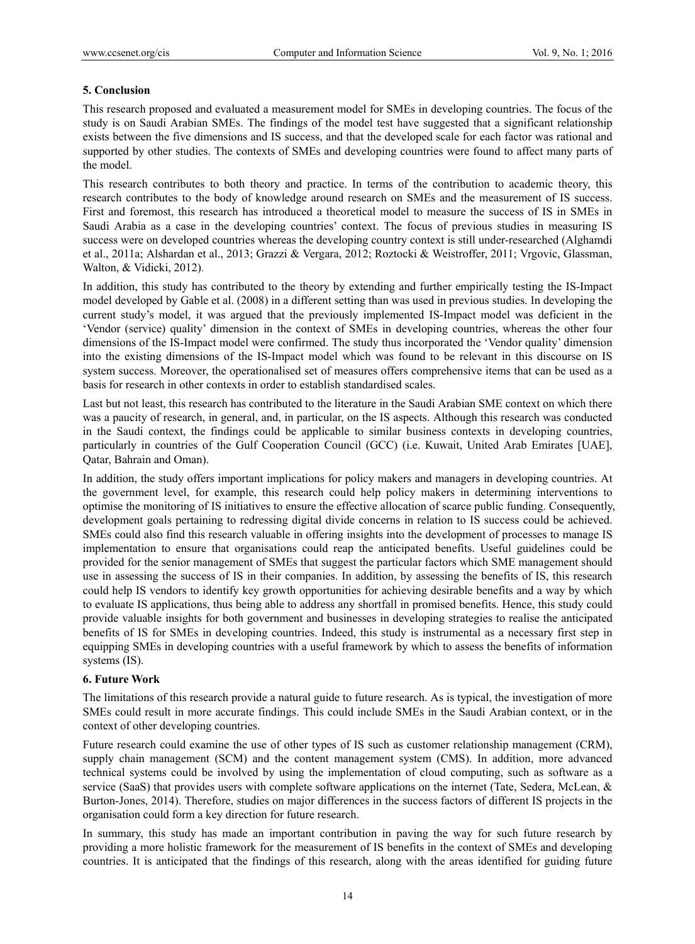# **5. Conclusion**

This research proposed and evaluated a measurement model for SMEs in developing countries. The focus of the study is on Saudi Arabian SMEs. The findings of the model test have suggested that a significant relationship exists between the five dimensions and IS success, and that the developed scale for each factor was rational and supported by other studies. The contexts of SMEs and developing countries were found to affect many parts of the model.

This research contributes to both theory and practice. In terms of the contribution to academic theory, this research contributes to the body of knowledge around research on SMEs and the measurement of IS success. First and foremost, this research has introduced a theoretical model to measure the success of IS in SMEs in Saudi Arabia as a case in the developing countries' context. The focus of previous studies in measuring IS success were on developed countries whereas the developing country context is still under-researched (Alghamdi et al., 2011a; Alshardan et al., 2013; Grazzi & Vergara, 2012; Roztocki & Weistroffer, 2011; Vrgovic, Glassman, Walton, & Vidicki, 2012).

In addition, this study has contributed to the theory by extending and further empirically testing the IS-Impact model developed by Gable et al. (2008) in a different setting than was used in previous studies. In developing the current study's model, it was argued that the previously implemented IS-Impact model was deficient in the 'Vendor (service) quality' dimension in the context of SMEs in developing countries, whereas the other four dimensions of the IS-Impact model were confirmed. The study thus incorporated the 'Vendor quality' dimension into the existing dimensions of the IS-Impact model which was found to be relevant in this discourse on IS system success. Moreover, the operationalised set of measures offers comprehensive items that can be used as a basis for research in other contexts in order to establish standardised scales.

Last but not least, this research has contributed to the literature in the Saudi Arabian SME context on which there was a paucity of research, in general, and, in particular, on the IS aspects. Although this research was conducted in the Saudi context, the findings could be applicable to similar business contexts in developing countries, particularly in countries of the Gulf Cooperation Council (GCC) (i.e. Kuwait, United Arab Emirates [UAE], Qatar, Bahrain and Oman).

In addition, the study offers important implications for policy makers and managers in developing countries. At the government level, for example, this research could help policy makers in determining interventions to optimise the monitoring of IS initiatives to ensure the effective allocation of scarce public funding. Consequently, development goals pertaining to redressing digital divide concerns in relation to IS success could be achieved. SMEs could also find this research valuable in offering insights into the development of processes to manage IS implementation to ensure that organisations could reap the anticipated benefits. Useful guidelines could be provided for the senior management of SMEs that suggest the particular factors which SME management should use in assessing the success of IS in their companies. In addition, by assessing the benefits of IS, this research could help IS vendors to identify key growth opportunities for achieving desirable benefits and a way by which to evaluate IS applications, thus being able to address any shortfall in promised benefits. Hence, this study could provide valuable insights for both government and businesses in developing strategies to realise the anticipated benefits of IS for SMEs in developing countries. Indeed, this study is instrumental as a necessary first step in equipping SMEs in developing countries with a useful framework by which to assess the benefits of information systems (IS).

## **6. Future Work**

The limitations of this research provide a natural guide to future research. As is typical, the investigation of more SMEs could result in more accurate findings. This could include SMEs in the Saudi Arabian context, or in the context of other developing countries.

Future research could examine the use of other types of IS such as customer relationship management (CRM), supply chain management (SCM) and the content management system (CMS). In addition, more advanced technical systems could be involved by using the implementation of cloud computing, such as software as a service (SaaS) that provides users with complete software applications on the internet (Tate, Sedera, McLean, & Burton-Jones, 2014). Therefore, studies on major differences in the success factors of different IS projects in the organisation could form a key direction for future research.

In summary, this study has made an important contribution in paving the way for such future research by providing a more holistic framework for the measurement of IS benefits in the context of SMEs and developing countries. It is anticipated that the findings of this research, along with the areas identified for guiding future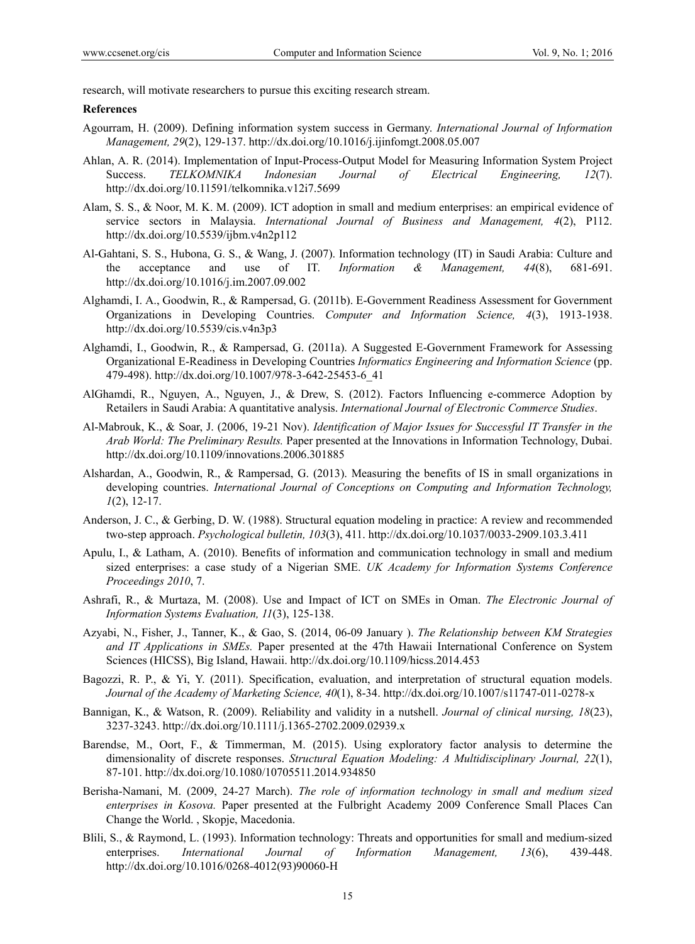research, will motivate researchers to pursue this exciting research stream.

#### **References**

- Agourram, H. (2009). Defining information system success in Germany. *International Journal of Information Management, 29*(2), 129-137. http://dx.doi.org/10.1016/j.ijinfomgt.2008.05.007
- Ahlan, A. R. (2014). Implementation of Input-Process-Output Model for Measuring Information System Project Success. *TELKOMNIKA Indonesian Journal of Electrical Engineering, 12*(7). http://dx.doi.org/10.11591/telkomnika.v12i7.5699
- Alam, S. S., & Noor, M. K. M. (2009). ICT adoption in small and medium enterprises: an empirical evidence of service sectors in Malaysia. *International Journal of Business and Management, 4*(2), P112. http://dx.doi.org/10.5539/ijbm.v4n2p112
- Al-Gahtani, S. S., Hubona, G. S., & Wang, J. (2007). Information technology (IT) in Saudi Arabia: Culture and the acceptance and use of IT. *Information & Management, 44*(8), 681-691. http://dx.doi.org/10.1016/j.im.2007.09.002
- Alghamdi, I. A., Goodwin, R., & Rampersad, G. (2011b). E-Government Readiness Assessment for Government Organizations in Developing Countries. *Computer and Information Science, 4*(3), 1913-1938. http://dx.doi.org/10.5539/cis.v4n3p3
- Alghamdi, I., Goodwin, R., & Rampersad, G. (2011a). A Suggested E-Government Framework for Assessing Organizational E-Readiness in Developing Countries *Informatics Engineering and Information Science* (pp. 479-498). http://dx.doi.org/10.1007/978-3-642-25453-6\_41
- AlGhamdi, R., Nguyen, A., Nguyen, J., & Drew, S. (2012). Factors Influencing e-commerce Adoption by Retailers in Saudi Arabia: A quantitative analysis. *International Journal of Electronic Commerce Studies*.
- Al-Mabrouk, K., & Soar, J. (2006, 19-21 Nov). *Identification of Major Issues for Successful IT Transfer in the Arab World: The Preliminary Results.* Paper presented at the Innovations in Information Technology, Dubai. http://dx.doi.org/10.1109/innovations.2006.301885
- Alshardan, A., Goodwin, R., & Rampersad, G. (2013). Measuring the benefits of IS in small organizations in developing countries. *International Journal of Conceptions on Computing and Information Technology, 1*(2), 12-17.
- Anderson, J. C., & Gerbing, D. W. (1988). Structural equation modeling in practice: A review and recommended two-step approach. *Psychological bulletin, 103*(3), 411. http://dx.doi.org/10.1037/0033-2909.103.3.411
- Apulu, I., & Latham, A. (2010). Benefits of information and communication technology in small and medium sized enterprises: a case study of a Nigerian SME. *UK Academy for Information Systems Conference Proceedings 2010*, 7.
- Ashrafi, R., & Murtaza, M. (2008). Use and Impact of ICT on SMEs in Oman. *The Electronic Journal of Information Systems Evaluation, 11*(3), 125-138.
- Azyabi, N., Fisher, J., Tanner, K., & Gao, S. (2014, 06-09 January ). *The Relationship between KM Strategies and IT Applications in SMEs.* Paper presented at the 47th Hawaii International Conference on System Sciences (HICSS), Big Island, Hawaii. http://dx.doi.org/10.1109/hicss.2014.453
- Bagozzi, R. P., & Yi, Y. (2011). Specification, evaluation, and interpretation of structural equation models. *Journal of the Academy of Marketing Science, 40*(1), 8-34. http://dx.doi.org/10.1007/s11747-011-0278-x
- Bannigan, K., & Watson, R. (2009). Reliability and validity in a nutshell. *Journal of clinical nursing, 18*(23), 3237-3243. http://dx.doi.org/10.1111/j.1365-2702.2009.02939.x
- Barendse, M., Oort, F., & Timmerman, M. (2015). Using exploratory factor analysis to determine the dimensionality of discrete responses. *Structural Equation Modeling: A Multidisciplinary Journal, 22*(1), 87-101. http://dx.doi.org/10.1080/10705511.2014.934850
- Berisha-Namani, M. (2009, 24-27 March). *The role of information technology in small and medium sized enterprises in Kosova.* Paper presented at the Fulbright Academy 2009 Conference Small Places Can Change the World. , Skopje, Macedonia.
- Blili, S., & Raymond, L. (1993). Information technology: Threats and opportunities for small and medium-sized enterprises. *International Journal of Information Management, 13*(6), 439-448. http://dx.doi.org/10.1016/0268-4012(93)90060-H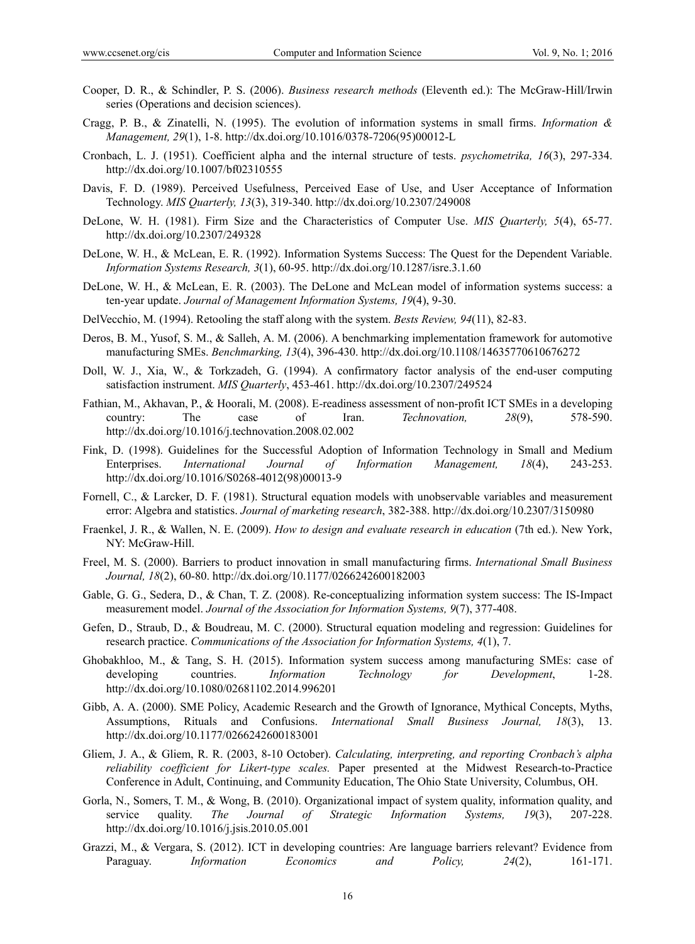- Cooper, D. R., & Schindler, P. S. (2006). *Business research methods* (Eleventh ed.): The McGraw-Hill/Irwin series (Operations and decision sciences).
- Cragg, P. B., & Zinatelli, N. (1995). The evolution of information systems in small firms. *Information & Management, 29*(1), 1-8. http://dx.doi.org/10.1016/0378-7206(95)00012-L
- Cronbach, L. J. (1951). Coefficient alpha and the internal structure of tests. *psychometrika, 16*(3), 297-334. http://dx.doi.org/10.1007/bf02310555
- Davis, F. D. (1989). Perceived Usefulness, Perceived Ease of Use, and User Acceptance of Information Technology. *MIS Quarterly, 13*(3), 319-340. http://dx.doi.org/10.2307/249008
- DeLone, W. H. (1981). Firm Size and the Characteristics of Computer Use. *MIS Quarterly, 5*(4), 65-77. http://dx.doi.org/10.2307/249328
- DeLone, W. H., & McLean, E. R. (1992). Information Systems Success: The Quest for the Dependent Variable. *Information Systems Research, 3*(1), 60-95. http://dx.doi.org/10.1287/isre.3.1.60
- DeLone, W. H., & McLean, E. R. (2003). The DeLone and McLean model of information systems success: a ten-year update. *Journal of Management Information Systems, 19*(4), 9-30.
- DelVecchio, M. (1994). Retooling the staff along with the system. *Bests Review, 94*(11), 82-83.
- Deros, B. M., Yusof, S. M., & Salleh, A. M. (2006). A benchmarking implementation framework for automotive manufacturing SMEs. *Benchmarking, 13*(4), 396-430. http://dx.doi.org/10.1108/14635770610676272
- Doll, W. J., Xia, W., & Torkzadeh, G. (1994). A confirmatory factor analysis of the end-user computing satisfaction instrument. *MIS Quarterly*, 453-461. http://dx.doi.org/10.2307/249524
- Fathian, M., Akhavan, P., & Hoorali, M. (2008). E-readiness assessment of non-profit ICT SMEs in a developing country: The case of Iran. *Technovation, 28*(9), 578-590. http://dx.doi.org/10.1016/j.technovation.2008.02.002
- Fink, D. (1998). Guidelines for the Successful Adoption of Information Technology in Small and Medium Enterprises. *International Journal of Information Management, 18*(4), 243-253. http://dx.doi.org/10.1016/S0268-4012(98)00013-9
- Fornell, C., & Larcker, D. F. (1981). Structural equation models with unobservable variables and measurement error: Algebra and statistics. *Journal of marketing research*, 382-388. http://dx.doi.org/10.2307/3150980
- Fraenkel, J. R., & Wallen, N. E. (2009). *How to design and evaluate research in education* (7th ed.). New York, NY: McGraw-Hill.
- Freel, M. S. (2000). Barriers to product innovation in small manufacturing firms. *International Small Business Journal, 18*(2), 60-80. http://dx.doi.org/10.1177/0266242600182003
- Gable, G. G., Sedera, D., & Chan, T. Z. (2008). Re-conceptualizing information system success: The IS-Impact measurement model. *Journal of the Association for Information Systems, 9*(7), 377-408.
- Gefen, D., Straub, D., & Boudreau, M. C. (2000). Structural equation modeling and regression: Guidelines for research practice. *Communications of the Association for Information Systems, 4*(1), 7.
- Ghobakhloo, M., & Tang, S. H. (2015). Information system success among manufacturing SMEs: case of developing countries. *Information Technology for Development*, 1-28. http://dx.doi.org/10.1080/02681102.2014.996201
- Gibb, A. A. (2000). SME Policy, Academic Research and the Growth of Ignorance, Mythical Concepts, Myths, Assumptions, Rituals and Confusions. *International Small Business Journal, 18*(3), 13. http://dx.doi.org/10.1177/0266242600183001
- Gliem, J. A., & Gliem, R. R. (2003, 8-10 October). *Calculating, interpreting, and reporting Cronbach's alpha reliability coefficient for Likert-type scales.* Paper presented at the Midwest Research-to-Practice Conference in Adult, Continuing, and Community Education, The Ohio State University, Columbus, OH.
- Gorla, N., Somers, T. M., & Wong, B. (2010). Organizational impact of system quality, information quality, and service quality. *The Journal of Strategic Information Systems, 19*(3), 207-228. http://dx.doi.org/10.1016/j.jsis.2010.05.001
- Grazzi, M., & Vergara, S. (2012). ICT in developing countries: Are language barriers relevant? Evidence from Paraguay. *Information Economics and Policy, 24*(2), 161-171.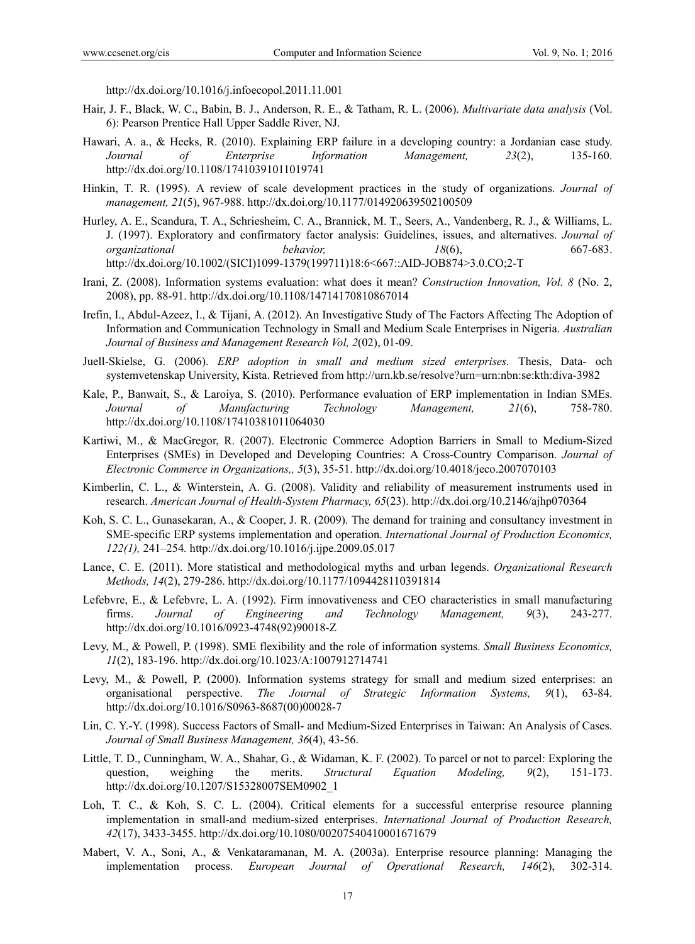http://dx.doi.org/10.1016/j.infoecopol.2011.11.001

- Hair, J. F., Black, W. C., Babin, B. J., Anderson, R. E., & Tatham, R. L. (2006). *Multivariate data analysis* (Vol. 6): Pearson Prentice Hall Upper Saddle River, NJ.
- Hawari, A. a., & Heeks, R. (2010). Explaining ERP failure in a developing country: a Jordanian case study. *Journal of Enterprise Information Management, 23*(2), 135-160. http://dx.doi.org/10.1108/17410391011019741
- Hinkin, T. R. (1995). A review of scale development practices in the study of organizations. *Journal of management, 21*(5), 967-988. http://dx.doi.org/10.1177/014920639502100509
- Hurley, A. E., Scandura, T. A., Schriesheim, C. A., Brannick, M. T., Seers, A., Vandenberg, R. J., & Williams, L. J. (1997). Exploratory and confirmatory factor analysis: Guidelines, issues, and alternatives. *Journal of organizational behavior, 18*(6), 667-683. http://dx.doi.org/10.1002/(SICI)1099-1379(199711)18:6<667::AID-JOB874>3.0.CO;2-T
- Irani, Z. (2008). Information systems evaluation: what does it mean? *Construction Innovation, Vol. 8* (No. 2, 2008), pp. 88-91. http://dx.doi.org/10.1108/14714170810867014
- Irefin, I., Abdul-Azeez, I., & Tijani, A. (2012). An Investigative Study of The Factors Affecting The Adoption of Information and Communication Technology in Small and Medium Scale Enterprises in Nigeria. *Australian Journal of Business and Management Research Vol, 2*(02), 01-09.
- Juell-Skielse, G. (2006). *ERP adoption in small and medium sized enterprises.* Thesis, Data- och systemvetenskap University, Kista. Retrieved from http://urn.kb.se/resolve?urn=urn:nbn:se:kth:diva-3982
- Kale, P., Banwait, S., & Laroiya, S. (2010). Performance evaluation of ERP implementation in Indian SMEs. *Journal of Manufacturing Technology Management, 21*(6), 758-780. http://dx.doi.org/10.1108/17410381011064030
- Kartiwi, M., & MacGregor, R. (2007). Electronic Commerce Adoption Barriers in Small to Medium-Sized Enterprises (SMEs) in Developed and Developing Countries: A Cross-Country Comparison. *Journal of Electronic Commerce in Organizations,, 5*(3), 35-51. http://dx.doi.org/10.4018/jeco.2007070103
- Kimberlin, C. L., & Winterstein, A. G. (2008). Validity and reliability of measurement instruments used in research. *American Journal of Health-System Pharmacy, 65*(23). http://dx.doi.org/10.2146/ajhp070364
- Koh, S. C. L., Gunasekaran, A., & Cooper, J. R. (2009). The demand for training and consultancy investment in SME-specific ERP systems implementation and operation. *International Journal of Production Economics, 122(1),* 241–254*.* http://dx.doi.org/10.1016/j.ijpe.2009.05.017
- Lance, C. E. (2011). More statistical and methodological myths and urban legends. *Organizational Research Methods, 14*(2), 279-286. http://dx.doi.org/10.1177/1094428110391814
- Lefebvre, E., & Lefebvre, L. A. (1992). Firm innovativeness and CEO characteristics in small manufacturing firms. *Journal of Engineering and Technology Management, 9*(3), 243-277. http://dx.doi.org/10.1016/0923-4748(92)90018-Z
- Levy, M., & Powell, P. (1998). SME flexibility and the role of information systems. *Small Business Economics, 11*(2), 183-196. http://dx.doi.org/10.1023/A:1007912714741
- Levy, M., & Powell, P. (2000). Information systems strategy for small and medium sized enterprises: an organisational perspective. *The Journal of Strategic Information Systems, 9*(1), 63-84. http://dx.doi.org/10.1016/S0963-8687(00)00028-7
- Lin, C. Y.-Y. (1998). Success Factors of Small- and Medium-Sized Enterprises in Taiwan: An Analysis of Cases. *Journal of Small Business Management, 36*(4), 43-56.
- Little, T. D., Cunningham, W. A., Shahar, G., & Widaman, K. F. (2002). To parcel or not to parcel: Exploring the question, weighing the merits. *Structural Equation Modeling, 9*(2), 151-173. http://dx.doi.org/10.1207/S15328007SEM0902\_1
- Loh, T. C., & Koh, S. C. L. (2004). Critical elements for a successful enterprise resource planning implementation in small-and medium-sized enterprises. *International Journal of Production Research, 42*(17), 3433-3455. http://dx.doi.org/10.1080/00207540410001671679
- Mabert, V. A., Soni, A., & Venkataramanan, M. A. (2003a). Enterprise resource planning: Managing the implementation process. *European Journal of Operational Research, 146*(2), 302-314.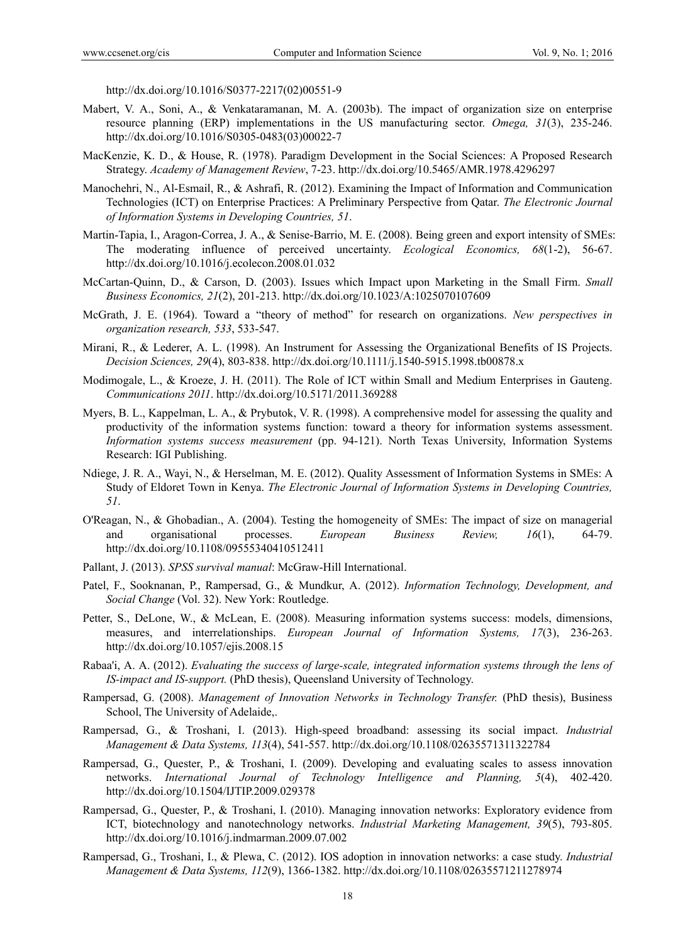http://dx.doi.org/10.1016/S0377-2217(02)00551-9

- Mabert, V. A., Soni, A., & Venkataramanan, M. A. (2003b). The impact of organization size on enterprise resource planning (ERP) implementations in the US manufacturing sector. *Omega, 31*(3), 235-246. http://dx.doi.org/10.1016/S0305-0483(03)00022-7
- MacKenzie, K. D., & House, R. (1978). Paradigm Development in the Social Sciences: A Proposed Research Strategy. *Academy of Management Review*, 7-23. http://dx.doi.org/10.5465/AMR.1978.4296297
- Manochehri, N., Al-Esmail, R., & Ashrafi, R. (2012). Examining the Impact of Information and Communication Technologies (ICT) on Enterprise Practices: A Preliminary Perspective from Qatar. *The Electronic Journal of Information Systems in Developing Countries, 51*.
- Martin-Tapia, I., Aragon-Correa, J. A., & Senise-Barrio, M. E. (2008). Being green and export intensity of SMEs: The moderating influence of perceived uncertainty. *Ecological Economics, 68*(1-2), 56-67. http://dx.doi.org/10.1016/j.ecolecon.2008.01.032
- McCartan-Quinn, D., & Carson, D. (2003). Issues which Impact upon Marketing in the Small Firm. *Small Business Economics, 21*(2), 201-213. http://dx.doi.org/10.1023/A:1025070107609
- McGrath, J. E. (1964). Toward a "theory of method" for research on organizations. *New perspectives in organization research, 533*, 533-547.
- Mirani, R., & Lederer, A. L. (1998). An Instrument for Assessing the Organizational Benefits of IS Projects. *Decision Sciences, 29*(4), 803-838. http://dx.doi.org/10.1111/j.1540-5915.1998.tb00878.x
- Modimogale, L., & Kroeze, J. H. (2011). The Role of ICT within Small and Medium Enterprises in Gauteng. *Communications 2011*. http://dx.doi.org/10.5171/2011.369288
- Myers, B. L., Kappelman, L. A., & Prybutok, V. R. (1998). A comprehensive model for assessing the quality and productivity of the information systems function: toward a theory for information systems assessment. *Information systems success measurement* (pp. 94-121). North Texas University, Information Systems Research: IGI Publishing.
- Ndiege, J. R. A., Wayi, N., & Herselman, M. E. (2012). Quality Assessment of Information Systems in SMEs: A Study of Eldoret Town in Kenya. *The Electronic Journal of Information Systems in Developing Countries, 51*.
- O'Reagan, N., & Ghobadian., A. (2004). Testing the homogeneity of SMEs: The impact of size on managerial and organisational processes. *European Business Review, 16*(1), 64-79. http://dx.doi.org/10.1108/09555340410512411
- Pallant, J. (2013). *SPSS survival manual*: McGraw-Hill International.
- Patel, F., Sooknanan, P., Rampersad, G., & Mundkur, A. (2012). *Information Technology, Development, and Social Change* (Vol. 32). New York: Routledge.
- Petter, S., DeLone, W., & McLean, E. (2008). Measuring information systems success: models, dimensions, measures, and interrelationships. *European Journal of Information Systems, 17*(3), 236-263. http://dx.doi.org/10.1057/ejis.2008.15
- Rabaa'i, A. A. (2012). *Evaluating the success of large-scale, integrated information systems through the lens of IS-impact and IS-support.* (PhD thesis), Queensland University of Technology.
- Rampersad, G. (2008). *Management of Innovation Networks in Technology Transfer.* (PhD thesis), Business School, The University of Adelaide,.
- Rampersad, G., & Troshani, I. (2013). High-speed broadband: assessing its social impact. *Industrial Management & Data Systems, 113*(4), 541-557. http://dx.doi.org/10.1108/02635571311322784
- Rampersad, G., Quester, P., & Troshani, I. (2009). Developing and evaluating scales to assess innovation networks. *International Journal of Technology Intelligence and Planning, 5*(4), 402-420. http://dx.doi.org/10.1504/IJTIP.2009.029378
- Rampersad, G., Quester, P., & Troshani, I. (2010). Managing innovation networks: Exploratory evidence from ICT, biotechnology and nanotechnology networks. *Industrial Marketing Management, 39*(5), 793-805. http://dx.doi.org/10.1016/j.indmarman.2009.07.002
- Rampersad, G., Troshani, I., & Plewa, C. (2012). IOS adoption in innovation networks: a case study. *Industrial Management & Data Systems, 112*(9), 1366-1382. http://dx.doi.org/10.1108/02635571211278974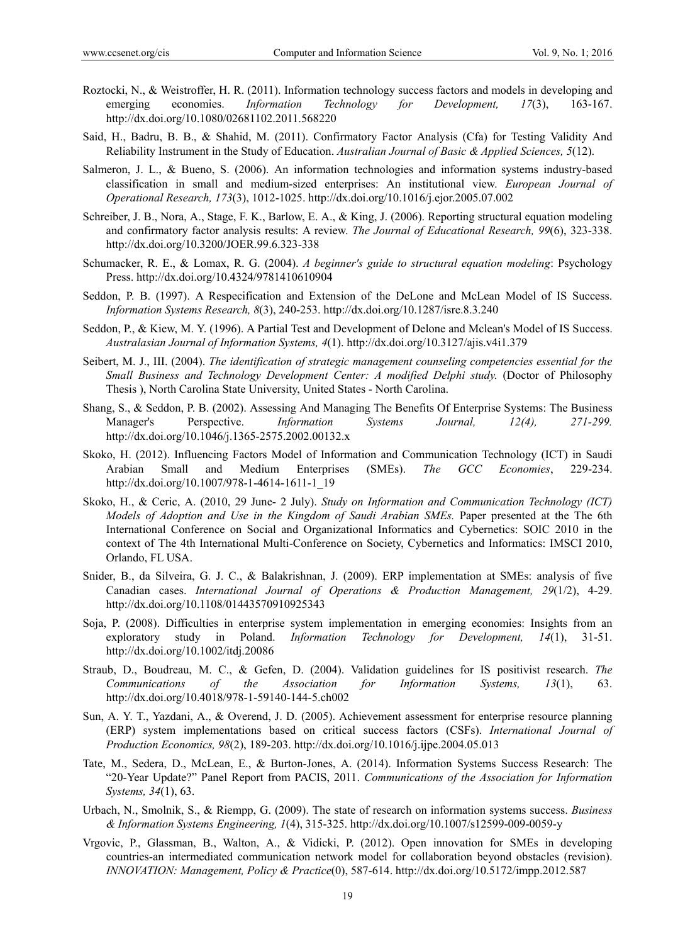- Roztocki, N., & Weistroffer, H. R. (2011). Information technology success factors and models in developing and emerging economies. *Information Technology for Development, 17*(3), 163-167. http://dx.doi.org/10.1080/02681102.2011.568220
- Said, H., Badru, B. B., & Shahid, M. (2011). Confirmatory Factor Analysis (Cfa) for Testing Validity And Reliability Instrument in the Study of Education. *Australian Journal of Basic & Applied Sciences, 5*(12).
- Salmeron, J. L., & Bueno, S. (2006). An information technologies and information systems industry-based classification in small and medium-sized enterprises: An institutional view. *European Journal of Operational Research, 173*(3), 1012-1025. http://dx.doi.org/10.1016/j.ejor.2005.07.002
- Schreiber, J. B., Nora, A., Stage, F. K., Barlow, E. A., & King, J. (2006). Reporting structural equation modeling and confirmatory factor analysis results: A review. *The Journal of Educational Research, 99*(6), 323-338. http://dx.doi.org/10.3200/JOER.99.6.323-338
- Schumacker, R. E., & Lomax, R. G. (2004). *A beginner's guide to structural equation modeling*: Psychology Press. http://dx.doi.org/10.4324/9781410610904
- Seddon, P. B. (1997). A Respecification and Extension of the DeLone and McLean Model of IS Success. *Information Systems Research, 8*(3), 240-253. http://dx.doi.org/10.1287/isre.8.3.240
- Seddon, P., & Kiew, M. Y. (1996). A Partial Test and Development of Delone and Mclean's Model of IS Success. *Australasian Journal of Information Systems, 4*(1). http://dx.doi.org/10.3127/ajis.v4i1.379
- Seibert, M. J., III. (2004). *The identification of strategic management counseling competencies essential for the Small Business and Technology Development Center: A modified Delphi study.* (Doctor of Philosophy Thesis ), North Carolina State University, United States - North Carolina.
- Shang, S., & Seddon, P. B. (2002). Assessing And Managing The Benefits Of Enterprise Systems: The Business Manager's Perspective. *Information Systems Journal, 12(4), 271-299.* http://dx.doi.org/10.1046/j.1365-2575.2002.00132.x
- Skoko, H. (2012). Influencing Factors Model of Information and Communication Technology (ICT) in Saudi Arabian Small and Medium Enterprises (SMEs). *The GCC Economies*, 229-234. http://dx.doi.org/10.1007/978-1-4614-1611-1\_19
- Skoko, H., & Ceric, A. (2010, 29 June- 2 July). *Study on Information and Communication Technology (ICT) Models of Adoption and Use in the Kingdom of Saudi Arabian SMEs.* Paper presented at the The 6th International Conference on Social and Organizational Informatics and Cybernetics: SOIC 2010 in the context of The 4th International Multi-Conference on Society, Cybernetics and Informatics: IMSCI 2010, Orlando, FL USA.
- Snider, B., da Silveira, G. J. C., & Balakrishnan, J. (2009). ERP implementation at SMEs: analysis of five Canadian cases. *International Journal of Operations & Production Management, 29*(1/2), 4-29. http://dx.doi.org/10.1108/01443570910925343
- Soja, P. (2008). Difficulties in enterprise system implementation in emerging economies: Insights from an exploratory study in Poland. *Information Technology for Development, 14*(1), 31-51. http://dx.doi.org/10.1002/itdj.20086
- Straub, D., Boudreau, M. C., & Gefen, D. (2004). Validation guidelines for IS positivist research. *The Communications of the Association for Information Systems, 13*(1), 63. http://dx.doi.org/10.4018/978-1-59140-144-5.ch002
- Sun, A. Y. T., Yazdani, A., & Overend, J. D. (2005). Achievement assessment for enterprise resource planning (ERP) system implementations based on critical success factors (CSFs). *International Journal of Production Economics, 98*(2), 189-203. http://dx.doi.org/10.1016/j.ijpe.2004.05.013
- Tate, M., Sedera, D., McLean, E., & Burton-Jones, A. (2014). Information Systems Success Research: The "20-Year Update?" Panel Report from PACIS, 2011. *Communications of the Association for Information Systems, 34*(1), 63.
- Urbach, N., Smolnik, S., & Riempp, G. (2009). The state of research on information systems success. *Business & Information Systems Engineering, 1*(4), 315-325. http://dx.doi.org/10.1007/s12599-009-0059-y
- Vrgovic, P., Glassman, B., Walton, A., & Vidicki, P. (2012). Open innovation for SMEs in developing countries-an intermediated communication network model for collaboration beyond obstacles (revision). *INNOVATION: Management, Policy & Practice*(0), 587-614. http://dx.doi.org/10.5172/impp.2012.587